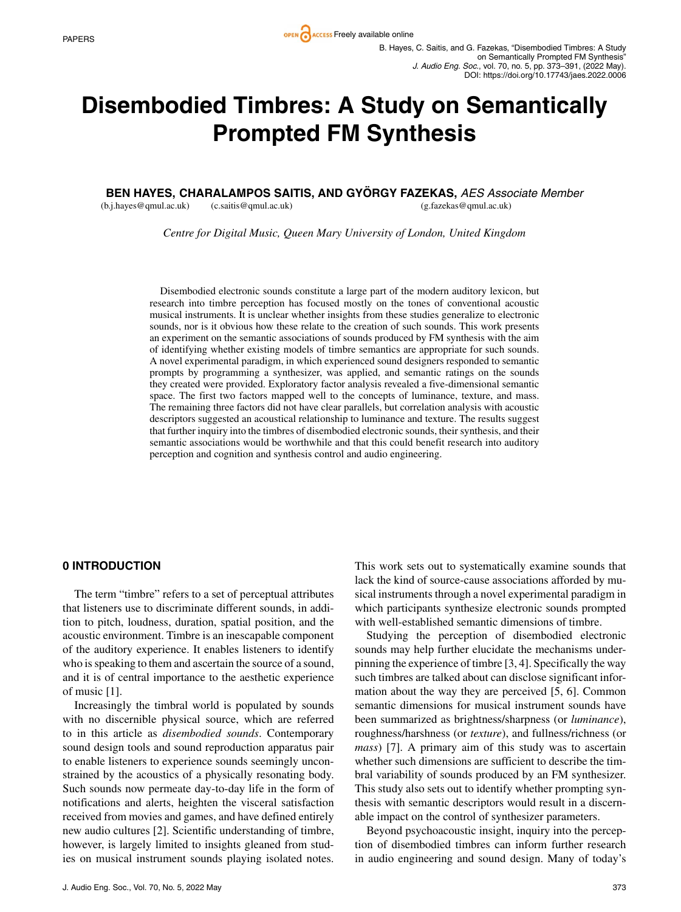# **Disembodied Timbres: A Study on Semantically Prompted FM Synthesis**

**BEN HAYES, CHARALAMPOS SAITIS, AND GYORGY FAZEKAS, ¨** *AES Associate Member*

(b.j.hayes@qmul.ac.uk) (c.saitis@qmul.ac.uk) (g.fazekas@qmul.ac.uk)

*Centre for Digital Music, Queen Mary University of London, United Kingdom*

Disembodied electronic sounds constitute a large part of the modern auditory lexicon, but research into timbre perception has focused mostly on the tones of conventional acoustic musical instruments. It is unclear whether insights from these studies generalize to electronic sounds, nor is it obvious how these relate to the creation of such sounds. This work presents an experiment on the semantic associations of sounds produced by FM synthesis with the aim of identifying whether existing models of timbre semantics are appropriate for such sounds. A novel experimental paradigm, in which experienced sound designers responded to semantic prompts by programming a synthesizer, was applied, and semantic ratings on the sounds they created were provided. Exploratory factor analysis revealed a five-dimensional semantic space. The first two factors mapped well to the concepts of luminance, texture, and mass. The remaining three factors did not have clear parallels, but correlation analysis with acoustic descriptors suggested an acoustical relationship to luminance and texture. The results suggest that further inquiry into the timbres of disembodied electronic sounds, their synthesis, and their semantic associations would be worthwhile and that this could benefit research into auditory perception and cognition and synthesis control and audio engineering.

## **0 INTRODUCTION**

The term "timbre" refers to a set of perceptual attributes that listeners use to discriminate different sounds, in addition to pitch, loudness, duration, spatial position, and the acoustic environment. Timbre is an inescapable component of the auditory experience. It enables listeners to identify who is speaking to them and ascertain the source of a sound, and it is of central importance to the aesthetic experience of music [1].

Increasingly the timbral world is populated by sounds with no discernible physical source, which are referred to in this article as *disembodied sounds*. Contemporary sound design tools and sound reproduction apparatus pair to enable listeners to experience sounds seemingly unconstrained by the acoustics of a physically resonating body. Such sounds now permeate day-to-day life in the form of notifications and alerts, heighten the visceral satisfaction received from movies and games, and have defined entirely new audio cultures [2]. Scientific understanding of timbre, however, is largely limited to insights gleaned from studies on musical instrument sounds playing isolated notes.

This work sets out to systematically examine sounds that lack the kind of source-cause associations afforded by musical instruments through a novel experimental paradigm in which participants synthesize electronic sounds prompted with well-established semantic dimensions of timbre.

Studying the perception of disembodied electronic sounds may help further elucidate the mechanisms underpinning the experience of timbre [3, 4]. Specifically the way such timbres are talked about can disclose significant information about the way they are perceived [5, 6]. Common semantic dimensions for musical instrument sounds have been summarized as brightness/sharpness (or *luminance*), roughness/harshness (or *texture*), and fullness/richness (or *mass*) [7]. A primary aim of this study was to ascertain whether such dimensions are sufficient to describe the timbral variability of sounds produced by an FM synthesizer. This study also sets out to identify whether prompting synthesis with semantic descriptors would result in a discernable impact on the control of synthesizer parameters.

Beyond psychoacoustic insight, inquiry into the perception of disembodied timbres can inform further research in audio engineering and sound design. Many of today's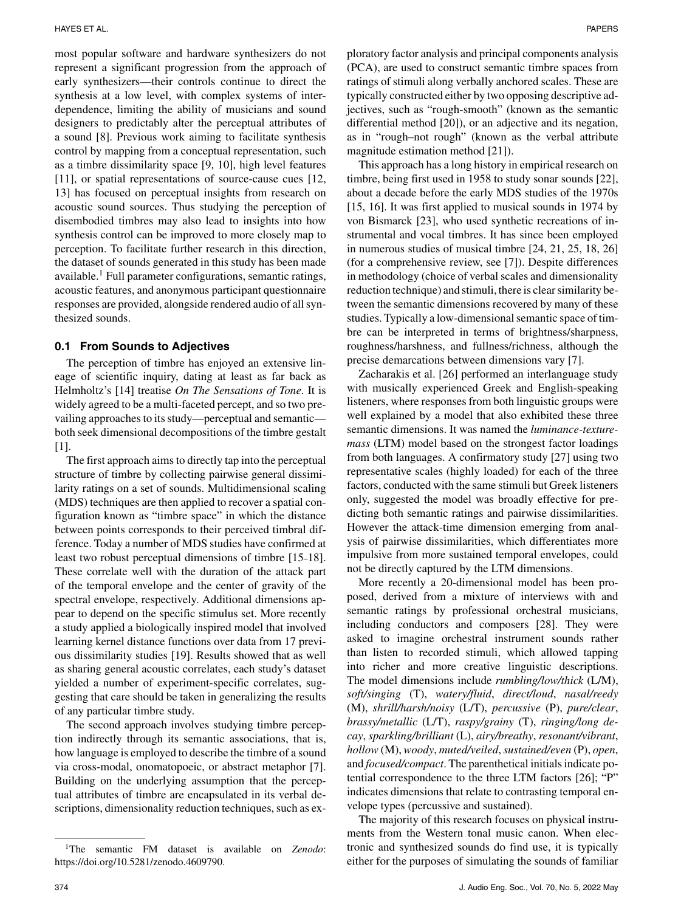most popular software and hardware synthesizers do not represent a significant progression from the approach of early synthesizers—their controls continue to direct the synthesis at a low level, with complex systems of interdependence, limiting the ability of musicians and sound designers to predictably alter the perceptual attributes of a sound [8]. Previous work aiming to facilitate synthesis control by mapping from a conceptual representation, such as a timbre dissimilarity space [9, 10], high level features [11], or spatial representations of source-cause cues [12, 13] has focused on perceptual insights from research on acoustic sound sources. Thus studying the perception of disembodied timbres may also lead to insights into how synthesis control can be improved to more closely map to perception. To facilitate further research in this direction, the dataset of sounds generated in this study has been made available.<sup>1</sup> Full parameter configurations, semantic ratings, acoustic features, and anonymous participant questionnaire responses are provided, alongside rendered audio of all synthesized sounds.

## **0.1 From Sounds to Adjectives**

The perception of timbre has enjoyed an extensive lineage of scientific inquiry, dating at least as far back as Helmholtz's [14] treatise *On The Sensations of Tone*. It is widely agreed to be a multi-faceted percept, and so two prevailing approaches to its study—perceptual and semantic both seek dimensional decompositions of the timbre gestalt [1].

The first approach aims to directly tap into the perceptual structure of timbre by collecting pairwise general dissimilarity ratings on a set of sounds. Multidimensional scaling (MDS) techniques are then applied to recover a spatial configuration known as "timbre space" in which the distance between points corresponds to their perceived timbral difference. Today a number of MDS studies have confirmed at least two robust perceptual dimensions of timbre [15–18]. These correlate well with the duration of the attack part of the temporal envelope and the center of gravity of the spectral envelope, respectively. Additional dimensions appear to depend on the specific stimulus set. More recently a study applied a biologically inspired model that involved learning kernel distance functions over data from 17 previous dissimilarity studies [19]. Results showed that as well as sharing general acoustic correlates, each study's dataset yielded a number of experiment-specific correlates, suggesting that care should be taken in generalizing the results of any particular timbre study.

The second approach involves studying timbre perception indirectly through its semantic associations, that is, how language is employed to describe the timbre of a sound via cross-modal, onomatopoeic, or abstract metaphor [7]. Building on the underlying assumption that the perceptual attributes of timbre are encapsulated in its verbal descriptions, dimensionality reduction techniques, such as ex-

ploratory factor analysis and principal components analysis (PCA), are used to construct semantic timbre spaces from ratings of stimuli along verbally anchored scales. These are typically constructed either by two opposing descriptive adjectives, such as "rough-smooth" (known as the semantic differential method [20]), or an adjective and its negation, as in "rough–not rough" (known as the verbal attribute magnitude estimation method [21]).

This approach has a long history in empirical research on timbre, being first used in 1958 to study sonar sounds [22], about a decade before the early MDS studies of the 1970s [15, 16]. It was first applied to musical sounds in 1974 by von Bismarck [23], who used synthetic recreations of instrumental and vocal timbres. It has since been employed in numerous studies of musical timbre [24, 21, 25, 18, 26] (for a comprehensive review, see [7]). Despite differences in methodology (choice of verbal scales and dimensionality reduction technique) and stimuli, there is clear similarity between the semantic dimensions recovered by many of these studies. Typically a low-dimensional semantic space of timbre can be interpreted in terms of brightness/sharpness, roughness/harshness, and fullness/richness, although the precise demarcations between dimensions vary [7].

Zacharakis et al. [26] performed an interlanguage study with musically experienced Greek and English-speaking listeners, where responses from both linguistic groups were well explained by a model that also exhibited these three semantic dimensions. It was named the *luminance-texturemass* (LTM) model based on the strongest factor loadings from both languages. A confirmatory study [27] using two representative scales (highly loaded) for each of the three factors, conducted with the same stimuli but Greek listeners only, suggested the model was broadly effective for predicting both semantic ratings and pairwise dissimilarities. However the attack-time dimension emerging from analysis of pairwise dissimilarities, which differentiates more impulsive from more sustained temporal envelopes, could not be directly captured by the LTM dimensions.

More recently a 20-dimensional model has been proposed, derived from a mixture of interviews with and semantic ratings by professional orchestral musicians, including conductors and composers [28]. They were asked to imagine orchestral instrument sounds rather than listen to recorded stimuli, which allowed tapping into richer and more creative linguistic descriptions. The model dimensions include *rumbling/low/thick* (L/M), *soft/singing* (T), *watery/fluid*, *direct/loud*, *nasal/reedy* (M), *shrill/harsh/noisy* (L/T), *percussive* (P), *pure/clear*, *brassy/metallic* (L/T), *raspy/grainy* (T), *ringing/long decay*, *sparkling/brilliant* (L), *airy/breathy*, *resonant/vibrant*, *hollow* (M), *woody*, *muted/veiled*,*sustained/even* (P), *open*, and *focused/compact*. The parenthetical initials indicate potential correspondence to the three LTM factors [26]; "P" indicates dimensions that relate to contrasting temporal envelope types (percussive and sustained).

The majority of this research focuses on physical instruments from the Western tonal music canon. When electronic and synthesized sounds do find use, it is typically either for the purposes of simulating the sounds of familiar

<sup>1</sup>The semantic FM dataset is available on *Zenodo*: [https://doi.org/10.5281/zenodo.4609790.](https://doi.org/10.5281/zenodo.4609790)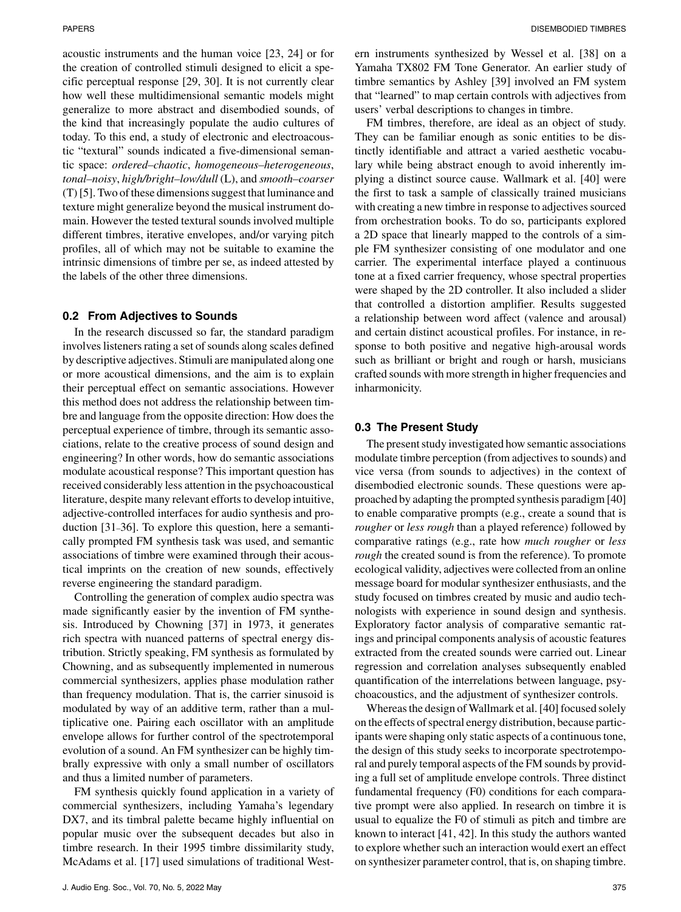acoustic instruments and the human voice [23, 24] or for the creation of controlled stimuli designed to elicit a specific perceptual response [29, 30]. It is not currently clear how well these multidimensional semantic models might generalize to more abstract and disembodied sounds, of the kind that increasingly populate the audio cultures of today. To this end, a study of electronic and electroacoustic "textural" sounds indicated a five-dimensional semantic space: *ordered–chaotic*, *homogeneous–heterogeneous*, *tonal–noisy*, *high/bright–low/dull* (L), and *smooth–coarser* (T) [5]. Two of these dimensions suggest that luminance and texture might generalize beyond the musical instrument domain. However the tested textural sounds involved multiple different timbres, iterative envelopes, and/or varying pitch profiles, all of which may not be suitable to examine the intrinsic dimensions of timbre per se, as indeed attested by the labels of the other three dimensions.

## **0.2 From Adjectives to Sounds**

In the research discussed so far, the standard paradigm involves listeners rating a set of sounds along scales defined by descriptive adjectives. Stimuli are manipulated along one or more acoustical dimensions, and the aim is to explain their perceptual effect on semantic associations. However this method does not address the relationship between timbre and language from the opposite direction: How does the perceptual experience of timbre, through its semantic associations, relate to the creative process of sound design and engineering? In other words, how do semantic associations modulate acoustical response? This important question has received considerably less attention in the psychoacoustical literature, despite many relevant efforts to develop intuitive, adjective-controlled interfaces for audio synthesis and production [31–36]. To explore this question, here a semantically prompted FM synthesis task was used, and semantic associations of timbre were examined through their acoustical imprints on the creation of new sounds, effectively reverse engineering the standard paradigm.

Controlling the generation of complex audio spectra was made significantly easier by the invention of FM synthesis. Introduced by Chowning [37] in 1973, it generates rich spectra with nuanced patterns of spectral energy distribution. Strictly speaking, FM synthesis as formulated by Chowning, and as subsequently implemented in numerous commercial synthesizers, applies phase modulation rather than frequency modulation. That is, the carrier sinusoid is modulated by way of an additive term, rather than a multiplicative one. Pairing each oscillator with an amplitude envelope allows for further control of the spectrotemporal evolution of a sound. An FM synthesizer can be highly timbrally expressive with only a small number of oscillators and thus a limited number of parameters.

FM synthesis quickly found application in a variety of commercial synthesizers, including Yamaha's legendary DX7, and its timbral palette became highly influential on popular music over the subsequent decades but also in timbre research. In their 1995 timbre dissimilarity study, McAdams et al. [17] used simulations of traditional Western instruments synthesized by Wessel et al. [38] on a Yamaha TX802 FM Tone Generator. An earlier study of timbre semantics by Ashley [39] involved an FM system that "learned" to map certain controls with adjectives from users' verbal descriptions to changes in timbre.

FM timbres, therefore, are ideal as an object of study. They can be familiar enough as sonic entities to be distinctly identifiable and attract a varied aesthetic vocabulary while being abstract enough to avoid inherently implying a distinct source cause. Wallmark et al. [40] were the first to task a sample of classically trained musicians with creating a new timbre in response to adjectives sourced from orchestration books. To do so, participants explored a 2D space that linearly mapped to the controls of a simple FM synthesizer consisting of one modulator and one carrier. The experimental interface played a continuous tone at a fixed carrier frequency, whose spectral properties were shaped by the 2D controller. It also included a slider that controlled a distortion amplifier. Results suggested a relationship between word affect (valence and arousal) and certain distinct acoustical profiles. For instance, in response to both positive and negative high-arousal words such as brilliant or bright and rough or harsh, musicians crafted sounds with more strength in higher frequencies and inharmonicity.

# **0.3 The Present Study**

The present study investigated how semantic associations modulate timbre perception (from adjectives to sounds) and vice versa (from sounds to adjectives) in the context of disembodied electronic sounds. These questions were approached by adapting the prompted synthesis paradigm [40] to enable comparative prompts (e.g., create a sound that is *rougher* or *less rough* than a played reference) followed by comparative ratings (e.g., rate how *much rougher* or *less rough* the created sound is from the reference). To promote ecological validity, adjectives were collected from an online message board for modular synthesizer enthusiasts, and the study focused on timbres created by music and audio technologists with experience in sound design and synthesis. Exploratory factor analysis of comparative semantic ratings and principal components analysis of acoustic features extracted from the created sounds were carried out. Linear regression and correlation analyses subsequently enabled quantification of the interrelations between language, psychoacoustics, and the adjustment of synthesizer controls.

Whereas the design of Wallmark et al. [40] focused solely on the effects of spectral energy distribution, because participants were shaping only static aspects of a continuous tone, the design of this study seeks to incorporate spectrotemporal and purely temporal aspects of the FM sounds by providing a full set of amplitude envelope controls. Three distinct fundamental frequency (F0) conditions for each comparative prompt were also applied. In research on timbre it is usual to equalize the F0 of stimuli as pitch and timbre are known to interact [41, 42]. In this study the authors wanted to explore whether such an interaction would exert an effect on synthesizer parameter control, that is, on shaping timbre.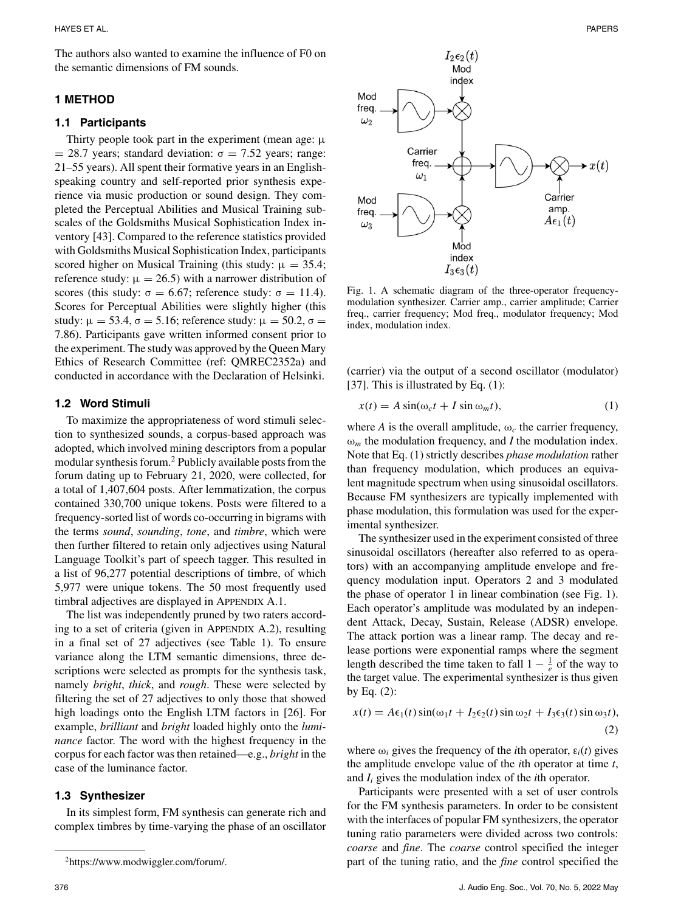The authors also wanted to examine the influence of F0 on the semantic dimensions of FM sounds.

#### **1 METHOD**

## **1.1 Participants**

Thirty people took part in the experiment (mean age:  $\mu$ = 28.7 years; standard deviation:  $\sigma$  = 7.52 years; range: 21–55 years). All spent their formative years in an Englishspeaking country and self-reported prior synthesis experience via music production or sound design. They completed the Perceptual Abilities and Musical Training subscales of the Goldsmiths Musical Sophistication Index inventory [43]. Compared to the reference statistics provided with Goldsmiths Musical Sophistication Index, participants scored higher on Musical Training (this study:  $\mu = 35.4$ ; reference study:  $\mu = 26.5$ ) with a narrower distribution of scores (this study:  $\sigma = 6.67$ ; reference study:  $\sigma = 11.4$ ). Scores for Perceptual Abilities were slightly higher (this study:  $\mu = 53.4$ ,  $\sigma = 5.16$ ; reference study:  $\mu = 50.2$ ,  $\sigma =$ 7.86). Participants gave written informed consent prior to the experiment. The study was approved by the Queen Mary Ethics of Research Committee (ref: QMREC2352a) and conducted in accordance with the Declaration of Helsinki.

#### **1.2 Word Stimuli**

To maximize the appropriateness of word stimuli selection to synthesized sounds, a corpus-based approach was adopted, which involved mining descriptors from a popular modular synthesis forum.2 Publicly available posts from the forum dating up to February 21, 2020, were collected, for a total of 1,407,604 posts. After lemmatization, the corpus contained 330,700 unique tokens. Posts were filtered to a frequency-sorted list of words co-occurring in bigrams with the terms *sound*, *sounding*, *tone*, and *timbre*, which were then further filtered to retain only adjectives using Natural Language Toolkit's part of speech tagger. This resulted in a list of 96,277 potential descriptions of timbre, of which 5,977 were unique tokens. The 50 most frequently used timbral adjectives are displayed in APPENDIX A.1.

The list was independently pruned by two raters according to a set of criteria (given in APPENDIX A.2), resulting in a final set of 27 adjectives (see Table 1). To ensure variance along the LTM semantic dimensions, three descriptions were selected as prompts for the synthesis task, namely *bright*, *thick*, and *rough*. These were selected by filtering the set of 27 adjectives to only those that showed high loadings onto the English LTM factors in [26]. For example, *brilliant* and *bright* loaded highly onto the *luminance* factor. The word with the highest frequency in the corpus for each factor was then retained—e.g., *bright* in the case of the luminance factor.

#### **1.3 Synthesizer**

In its simplest form, FM synthesis can generate rich and complex timbres by time-varying the phase of an oscillator



Fig. 1. A schematic diagram of the three-operator frequencymodulation synthesizer. Carrier amp., carrier amplitude; Carrier freq., carrier frequency; Mod freq., modulator frequency; Mod index, modulation index.

(carrier) via the output of a second oscillator (modulator) [37]. This is illustrated by Eq. (1):

$$
x(t) = A \sin(\omega_c t + I \sin \omega_m t), \tag{1}
$$

where *A* is the overall amplitude,  $\omega_c$  the carrier frequency,  $\omega_m$  the modulation frequency, and *I* the modulation index. Note that Eq. (1) strictly describes *phase modulation* rather than frequency modulation, which produces an equivalent magnitude spectrum when using sinusoidal oscillators. Because FM synthesizers are typically implemented with phase modulation, this formulation was used for the experimental synthesizer.

The synthesizer used in the experiment consisted of three sinusoidal oscillators (hereafter also referred to as operators) with an accompanying amplitude envelope and frequency modulation input. Operators 2 and 3 modulated the phase of operator 1 in linear combination (see Fig. 1). Each operator's amplitude was modulated by an independent Attack, Decay, Sustain, Release (ADSR) envelope. The attack portion was a linear ramp. The decay and release portions were exponential ramps where the segment length described the time taken to fall  $1 - \frac{1}{e}$  of the way to the target value. The experimental synthesizer is thus given by Eq. (2):

$$
x(t) = A\epsilon_1(t)\sin(\omega_1 t + I_2\epsilon_2(t)\sin\omega_2 t + I_3\epsilon_3(t)\sin\omega_3 t),
$$
\n(2)

where  $\omega_i$  gives the frequency of the *i*th operator,  $\varepsilon_i(t)$  gives the amplitude envelope value of the *i*th operator at time *t*, and *Ii* gives the modulation index of the *i*th operator.

Participants were presented with a set of user controls for the FM synthesis parameters. In order to be consistent with the interfaces of popular FM synthesizers, the operator tuning ratio parameters were divided across two controls: *coarse* and *fine*. The *coarse* control specified the integer part of the tuning ratio, and the *fine* control specified the

[<sup>2</sup>https://www.modwiggler.com/forum/.](https://www.modwiggler.com/forum/)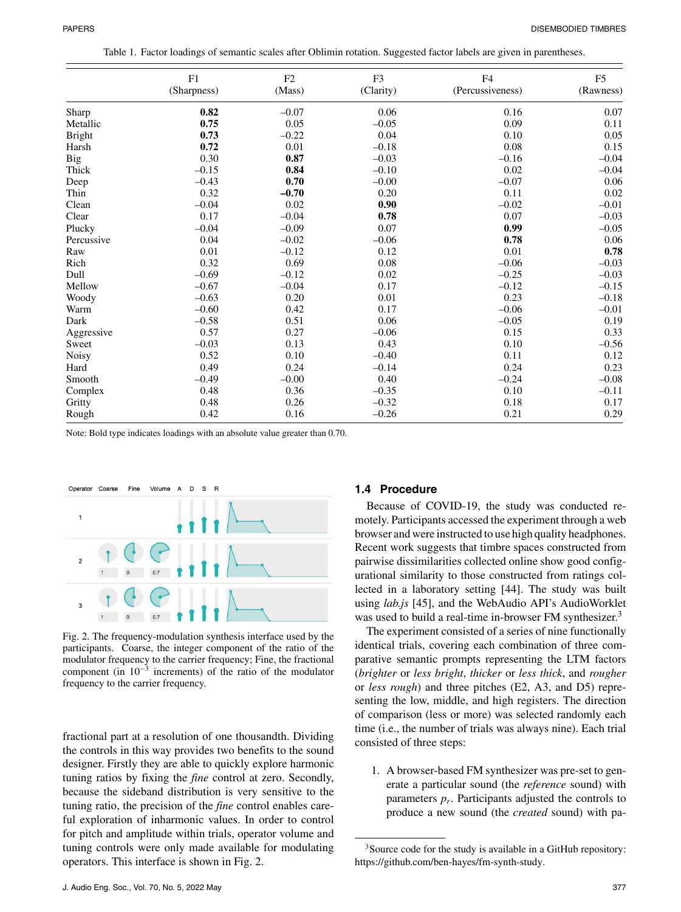| Table 1. Factor loadings of semantic scales after Oblimin rotation. Suggested factor labels are given in parentheses. |  |
|-----------------------------------------------------------------------------------------------------------------------|--|
|                                                                                                                       |  |
|                                                                                                                       |  |

|               | F1          | F <sub>2</sub> | F <sub>3</sub> | F <sub>4</sub>   | F <sub>5</sub> |
|---------------|-------------|----------------|----------------|------------------|----------------|
|               | (Sharpness) | (Mass)         | (Clarity)      | (Percussiveness) | (Rawness)      |
| Sharp         | 0.82        | $-0.07$        | 0.06           | 0.16             | 0.07           |
| Metallic      | 0.75        | 0.05           | $-0.05$        | 0.09             | 0.11           |
| <b>Bright</b> | 0.73        | $-0.22$        | 0.04           | 0.10             | 0.05           |
| Harsh         | 0.72        | 0.01           | $-0.18$        | 0.08             | 0.15           |
| Big           | 0.30        | 0.87           | $-0.03$        | $-0.16$          | $-0.04$        |
| Thick         | $-0.15$     | 0.84           | $-0.10$        | 0.02             | $-0.04$        |
| Deep          | $-0.43$     | 0.70           | $-0.00$        | $-0.07$          | 0.06           |
| Thin          | 0.32        | $-0.70$        | 0.20           | 0.11             | 0.02           |
| Clean         | $-0.04$     | 0.02           | 0.90           | $-0.02$          | $-0.01$        |
| Clear         | 0.17        | $-0.04$        | 0.78           | 0.07             | $-0.03$        |
| Plucky        | $-0.04$     | $-0.09$        | 0.07           | 0.99             | $-0.05$        |
| Percussive    | 0.04        | $-0.02$        | $-0.06$        | 0.78             | 0.06           |
| Raw           | 0.01        | $-0.12$        | 0.12           | 0.01             | 0.78           |
| Rich          | 0.32        | 0.69           | 0.08           | $-0.06$          | $-0.03$        |
| Dull          | $-0.69$     | $-0.12$        | 0.02           | $-0.25$          | $-0.03$        |
| Mellow        | $-0.67$     | $-0.04$        | 0.17           | $-0.12$          | $-0.15$        |
| Woody         | $-0.63$     | 0.20           | 0.01           | 0.23             | $-0.18$        |
| Warm          | $-0.60$     | 0.42           | 0.17           | $-0.06$          | $-0.01$        |
| Dark          | $-0.58$     | 0.51           | 0.06           | $-0.05$          | 0.19           |
| Aggressive    | 0.57        | 0.27           | $-0.06$        | 0.15             | 0.33           |
| Sweet         | $-0.03$     | 0.13           | 0.43           | 0.10             | $-0.56$        |
| <b>Noisy</b>  | 0.52        | 0.10           | $-0.40$        | 0.11             | 0.12           |
| Hard          | 0.49        | 0.24           | $-0.14$        | 0.24             | 0.23           |
| Smooth        | $-0.49$     | $-0.00$        | 0.40           | $-0.24$          | $-0.08$        |
| Complex       | 0.48        | 0.36           | $-0.35$        | 0.10             | $-0.11$        |
| Gritty        | 0.48        | 0.26           | $-0.32$        | 0.18             | 0.17           |
| Rough         | 0.42        | 0.16           | $-0.26$        | 0.21             | 0.29           |

Note: Bold type indicates loadings with an absolute value greater than 0.70.



Fig. 2. The frequency-modulation synthesis interface used by the participants. Coarse, the integer component of the ratio of the modulator frequency to the carrier frequency; Fine, the fractional component (in  $10^{-3}$  increments) of the ratio of the modulator frequency to the carrier frequency.

fractional part at a resolution of one thousandth. Dividing the controls in this way provides two benefits to the sound designer. Firstly they are able to quickly explore harmonic tuning ratios by fixing the *fine* control at zero. Secondly, because the sideband distribution is very sensitive to the tuning ratio, the precision of the *fine* control enables careful exploration of inharmonic values. In order to control for pitch and amplitude within trials, operator volume and tuning controls were only made available for modulating operators. This interface is shown in Fig. 2.

#### **1.4 Procedure**

Because of COVID-19, the study was conducted remotely. Participants accessed the experiment through a web browser and were instructed to use high quality headphones. Recent work suggests that timbre spaces constructed from pairwise dissimilarities collected online show good configurational similarity to those constructed from ratings collected in a laboratory setting [44]. The study was built using *lab.js* [45], and the WebAudio API's AudioWorklet was used to build a real-time in-browser FM synthesizer.<sup>3</sup>

The experiment consisted of a series of nine functionally identical trials, covering each combination of three comparative semantic prompts representing the LTM factors (*brighter* or *less bright*, *thicker* or *less thick*, and *rougher* or *less rough*) and three pitches (E2, A3, and D5) representing the low, middle, and high registers. The direction of comparison (less or more) was selected randomly each time (i.e., the number of trials was always nine). Each trial consisted of three steps:

1. A browser-based FM synthesizer was pre-set to generate a particular sound (the *reference* sound) with parameters  $p_r$ . Participants adjusted the controls to produce a new sound (the *created* sound) with pa-

<sup>&</sup>lt;sup>3</sup>Source code for the study is available in a GitHub repository: [https://github.com/ben-hayes/fm-synth-study.](https://github.com/ben-hayes/fm-synth-study)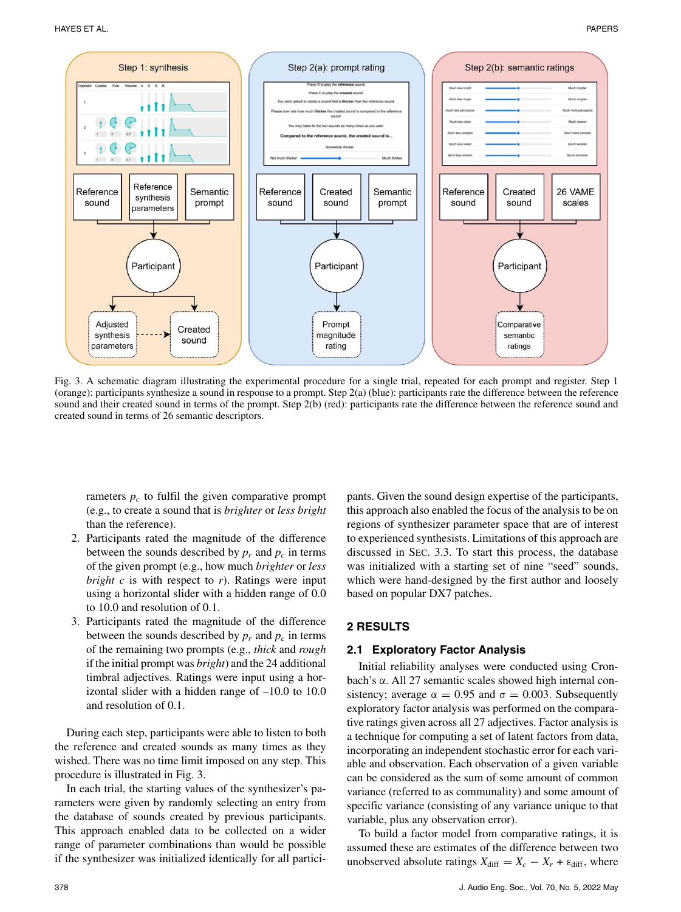HAYES ET AL. PAPERS



Fig. 3. A schematic diagram illustrating the experimental procedure for a single trial, repeated for each prompt and register. Step 1 (orange): participants synthesize a sound in response to a prompt. Step 2(a) (blue): participants rate the difference between the reference sound and their created sound in terms of the prompt. Step 2(b) (red): participants rate the difference between the reference sound and created sound in terms of 26 semantic descriptors.

rameters  $p_c$  to fulfil the given comparative prompt (e.g., to create a sound that is *brighter* or *less bright* than the reference).

- 2. Participants rated the magnitude of the difference between the sounds described by  $p_r$  and  $p_c$  in terms of the given prompt (e.g., how much *brighter* or *less bright c* is with respect to *r*). Ratings were input using a horizontal slider with a hidden range of 0.0 to 10.0 and resolution of 0.1.
- 3. Participants rated the magnitude of the difference between the sounds described by  $p_r$  and  $p_c$  in terms of the remaining two prompts (e.g., *thick* and *rough* if the initial prompt was *bright*) and the 24 additional timbral adjectives. Ratings were input using a horizontal slider with a hidden range of –10.0 to 10.0 and resolution of 0.1.

During each step, participants were able to listen to both the reference and created sounds as many times as they wished. There was no time limit imposed on any step. This procedure is illustrated in Fig. 3.

In each trial, the starting values of the synthesizer's parameters were given by randomly selecting an entry from the database of sounds created by previous participants. This approach enabled data to be collected on a wider range of parameter combinations than would be possible if the synthesizer was initialized identically for all partici-

pants. Given the sound design expertise of the participants, this approach also enabled the focus of the analysis to be on regions of synthesizer parameter space that are of interest to experienced synthesists. Limitations of this approach are discussed in SEC. 3.3. To start this process, the database was initialized with a starting set of nine "seed" sounds, which were hand-designed by the first author and loosely based on popular DX7 patches.

# **2 RESULTS**

## **2.1 Exploratory Factor Analysis**

Initial reliability analyses were conducted using Cronbach's α. All 27 semantic scales showed high internal consistency; average  $\alpha = 0.95$  and  $\sigma = 0.003$ . Subsequently exploratory factor analysis was performed on the comparative ratings given across all 27 adjectives. Factor analysis is a technique for computing a set of latent factors from data, incorporating an independent stochastic error for each variable and observation. Each observation of a given variable can be considered as the sum of some amount of common variance (referred to as communality) and some amount of specific variance (consisting of any variance unique to that variable, plus any observation error).

To build a factor model from comparative ratings, it is assumed these are estimates of the difference between two unobserved absolute ratings  $X_{\text{diff}} = X_c - X_r + \varepsilon_{\text{diff}}$ , where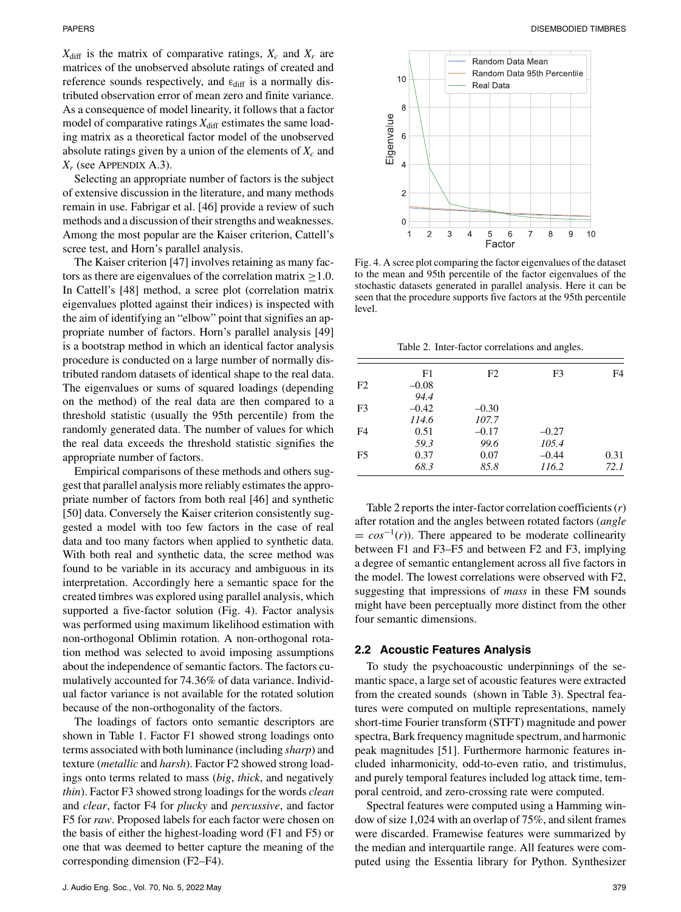$X_{\text{diff}}$  is the matrix of comparative ratings,  $X_c$  and  $X_r$  are matrices of the unobserved absolute ratings of created and reference sounds respectively, and  $\varepsilon_{diff}$  is a normally distributed observation error of mean zero and finite variance. As a consequence of model linearity, it follows that a factor model of comparative ratings  $X_{\text{diff}}$  estimates the same loading matrix as a theoretical factor model of the unobserved absolute ratings given by a union of the elements of  $X_c$  and *Xr* (see APPENDIX A.3).

Selecting an appropriate number of factors is the subject of extensive discussion in the literature, and many methods remain in use. Fabrigar et al. [46] provide a review of such methods and a discussion of their strengths and weaknesses. Among the most popular are the Kaiser criterion, Cattell's scree test, and Horn's parallel analysis.

The Kaiser criterion [47] involves retaining as many factors as there are eigenvalues of the correlation matrix  $>1.0$ . In Cattell's [48] method, a scree plot (correlation matrix eigenvalues plotted against their indices) is inspected with the aim of identifying an "elbow" point that signifies an appropriate number of factors. Horn's parallel analysis [49] is a bootstrap method in which an identical factor analysis procedure is conducted on a large number of normally distributed random datasets of identical shape to the real data. The eigenvalues or sums of squared loadings (depending on the method) of the real data are then compared to a threshold statistic (usually the 95th percentile) from the randomly generated data. The number of values for which the real data exceeds the threshold statistic signifies the appropriate number of factors.

Empirical comparisons of these methods and others suggest that parallel analysis more reliably estimates the appropriate number of factors from both real [46] and synthetic [50] data. Conversely the Kaiser criterion consistently suggested a model with too few factors in the case of real data and too many factors when applied to synthetic data. With both real and synthetic data, the scree method was found to be variable in its accuracy and ambiguous in its interpretation. Accordingly here a semantic space for the created timbres was explored using parallel analysis, which supported a five-factor solution (Fig. 4). Factor analysis was performed using maximum likelihood estimation with non-orthogonal Oblimin rotation. A non-orthogonal rotation method was selected to avoid imposing assumptions about the independence of semantic factors. The factors cumulatively accounted for 74.36% of data variance. Individual factor variance is not available for the rotated solution because of the non-orthogonality of the factors.

The loadings of factors onto semantic descriptors are shown in Table 1. Factor F1 showed strong loadings onto terms associated with both luminance (including *sharp*) and texture (*metallic* and *harsh*). Factor F2 showed strong loadings onto terms related to mass (*big*, *thick*, and negatively *thin*). Factor F3 showed strong loadings for the words *clean* and *clear*, factor F4 for *plucky* and *percussive*, and factor F5 for *raw*. Proposed labels for each factor were chosen on the basis of either the highest-loading word (F1 and F5) or one that was deemed to better capture the meaning of the corresponding dimension (F2–F4).



Fig. 4. A scree plot comparing the factor eigenvalues of the dataset to the mean and 95th percentile of the factor eigenvalues of the stochastic datasets generated in parallel analysis. Here it can be seen that the procedure supports five factors at the 95th percentile level.

Table 2. Inter-factor correlations and angles.

|                | F1      | F2      | F3      | F4   |
|----------------|---------|---------|---------|------|
| F <sub>2</sub> | $-0.08$ |         |         |      |
|                | 94.4    |         |         |      |
| F <sub>3</sub> | $-0.42$ | $-0.30$ |         |      |
|                | 114.6   | 107.7   |         |      |
| F4             | 0.51    | $-0.17$ | $-0.27$ |      |
|                | 59.3    | 99.6    | 105.4   |      |
| F <sub>5</sub> | 0.37    | 0.07    | $-0.44$ | 0.31 |
|                | 68.3    | 85.8    | 116.2   | 72.1 |
|                |         |         |         |      |

Table 2 reports the inter-factor correlation coefficients (*r*) after rotation and the angles between rotated factors (*angle*  $= cos^{-1}(r)$ . There appeared to be moderate collinearity between F1 and F3–F5 and between F2 and F3, implying a degree of semantic entanglement across all five factors in the model. The lowest correlations were observed with F2, suggesting that impressions of *mass* in these FM sounds might have been perceptually more distinct from the other four semantic dimensions.

#### **2.2 Acoustic Features Analysis**

To study the psychoacoustic underpinnings of the semantic space, a large set of acoustic features were extracted from the created sounds (shown in Table 3). Spectral features were computed on multiple representations, namely short-time Fourier transform (STFT) magnitude and power spectra, Bark frequency magnitude spectrum, and harmonic peak magnitudes [51]. Furthermore harmonic features included inharmonicity, odd-to-even ratio, and tristimulus, and purely temporal features included log attack time, temporal centroid, and zero-crossing rate were computed.

Spectral features were computed using a Hamming window of size 1,024 with an overlap of 75%, and silent frames were discarded. Framewise features were summarized by the median and interquartile range. All features were computed using the Essentia library for Python. Synthesizer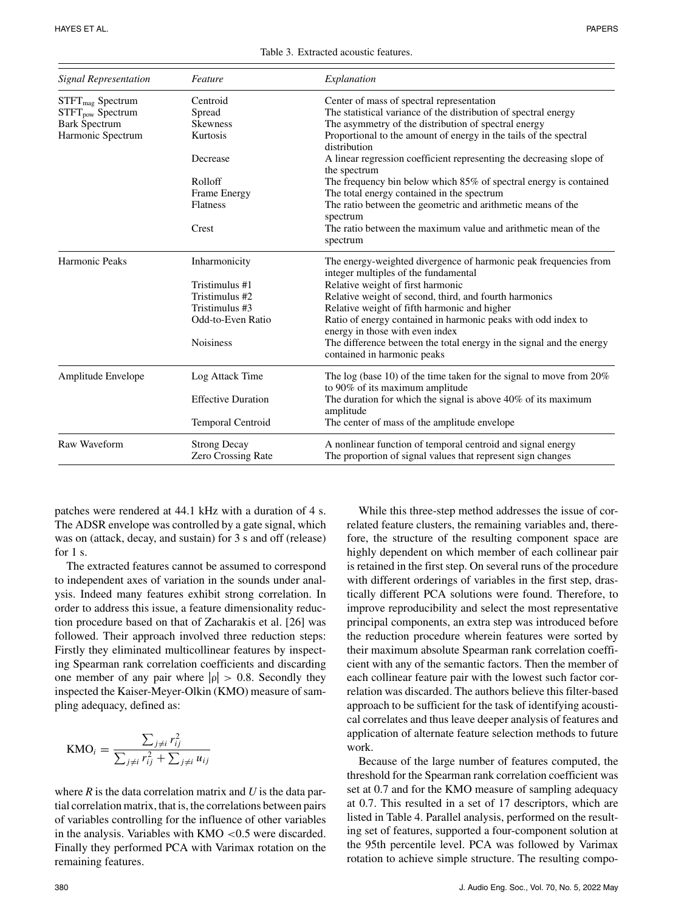HAYES ET AL. PAPERS

| <b>Signal Representation</b> | Feature                   | Explanation                                                                                               |  |  |  |  |
|------------------------------|---------------------------|-----------------------------------------------------------------------------------------------------------|--|--|--|--|
| $STFT_{mag}$ Spectrum        | Centroid                  | Center of mass of spectral representation                                                                 |  |  |  |  |
| STFT <sub>pow</sub> Spectrum | Spread                    | The statistical variance of the distribution of spectral energy                                           |  |  |  |  |
| <b>Bark Spectrum</b>         | <b>Skewness</b>           | The asymmetry of the distribution of spectral energy                                                      |  |  |  |  |
| Harmonic Spectrum            | Kurtosis                  | Proportional to the amount of energy in the tails of the spectral<br>distribution                         |  |  |  |  |
|                              | Decrease                  | A linear regression coefficient representing the decreasing slope of<br>the spectrum                      |  |  |  |  |
|                              | Rolloff                   | The frequency bin below which 85% of spectral energy is contained                                         |  |  |  |  |
|                              | Frame Energy              | The total energy contained in the spectrum                                                                |  |  |  |  |
|                              | <b>Flatness</b>           | The ratio between the geometric and arithmetic means of the<br>spectrum                                   |  |  |  |  |
|                              | Crest                     | The ratio between the maximum value and arithmetic mean of the                                            |  |  |  |  |
|                              |                           | spectrum                                                                                                  |  |  |  |  |
| Harmonic Peaks               | Inharmonicity             | The energy-weighted divergence of harmonic peak frequencies from<br>integer multiples of the fundamental  |  |  |  |  |
|                              | Tristimulus #1            | Relative weight of first harmonic                                                                         |  |  |  |  |
|                              | Tristimulus #2            | Relative weight of second, third, and fourth harmonics                                                    |  |  |  |  |
|                              | Tristimulus #3            | Relative weight of fifth harmonic and higher                                                              |  |  |  |  |
|                              | Odd-to-Even Ratio         | Ratio of energy contained in harmonic peaks with odd index to<br>energy in those with even index          |  |  |  |  |
|                              | <b>Noisiness</b>          | The difference between the total energy in the signal and the energy<br>contained in harmonic peaks       |  |  |  |  |
| Amplitude Envelope           | Log Attack Time           | The log (base 10) of the time taken for the signal to move from $20\%$<br>to 90% of its maximum amplitude |  |  |  |  |
|                              | <b>Effective Duration</b> | The duration for which the signal is above $40\%$ of its maximum<br>amplitude                             |  |  |  |  |
|                              | <b>Temporal Centroid</b>  | The center of mass of the amplitude envelope                                                              |  |  |  |  |
| Raw Waveform                 | <b>Strong Decay</b>       | A nonlinear function of temporal centroid and signal energy                                               |  |  |  |  |
|                              | <b>Zero Crossing Rate</b> | The proportion of signal values that represent sign changes                                               |  |  |  |  |

patches were rendered at 44.1 kHz with a duration of 4 s. The ADSR envelope was controlled by a gate signal, which was on (attack, decay, and sustain) for 3 s and off (release) for 1 s.

The extracted features cannot be assumed to correspond to independent axes of variation in the sounds under analysis. Indeed many features exhibit strong correlation. In order to address this issue, a feature dimensionality reduction procedure based on that of Zacharakis et al. [26] was followed. Their approach involved three reduction steps: Firstly they eliminated multicollinear features by inspecting Spearman rank correlation coefficients and discarding one member of any pair where  $|\rho| > 0.8$ . Secondly they inspected the Kaiser-Meyer-Olkin (KMO) measure of sampling adequacy, defined as:

$$
KMO_{i} = \frac{\sum_{j \neq i} r_{ij}^{2}}{\sum_{j \neq i} r_{ij}^{2} + \sum_{j \neq i} u_{ij}}
$$

where *R* is the data correlation matrix and *U* is the data partial correlation matrix, that is, the correlations between pairs of variables controlling for the influence of other variables in the analysis. Variables with KMO <0.5 were discarded. Finally they performed PCA with Varimax rotation on the remaining features.

While this three-step method addresses the issue of correlated feature clusters, the remaining variables and, therefore, the structure of the resulting component space are highly dependent on which member of each collinear pair is retained in the first step. On several runs of the procedure with different orderings of variables in the first step, drastically different PCA solutions were found. Therefore, to improve reproducibility and select the most representative principal components, an extra step was introduced before the reduction procedure wherein features were sorted by their maximum absolute Spearman rank correlation coefficient with any of the semantic factors. Then the member of each collinear feature pair with the lowest such factor correlation was discarded. The authors believe this filter-based approach to be sufficient for the task of identifying acoustical correlates and thus leave deeper analysis of features and application of alternate feature selection methods to future work.

Because of the large number of features computed, the threshold for the Spearman rank correlation coefficient was set at 0.7 and for the KMO measure of sampling adequacy at 0.7. This resulted in a set of 17 descriptors, which are listed in Table 4. Parallel analysis, performed on the resulting set of features, supported a four-component solution at the 95th percentile level. PCA was followed by Varimax rotation to achieve simple structure. The resulting compo-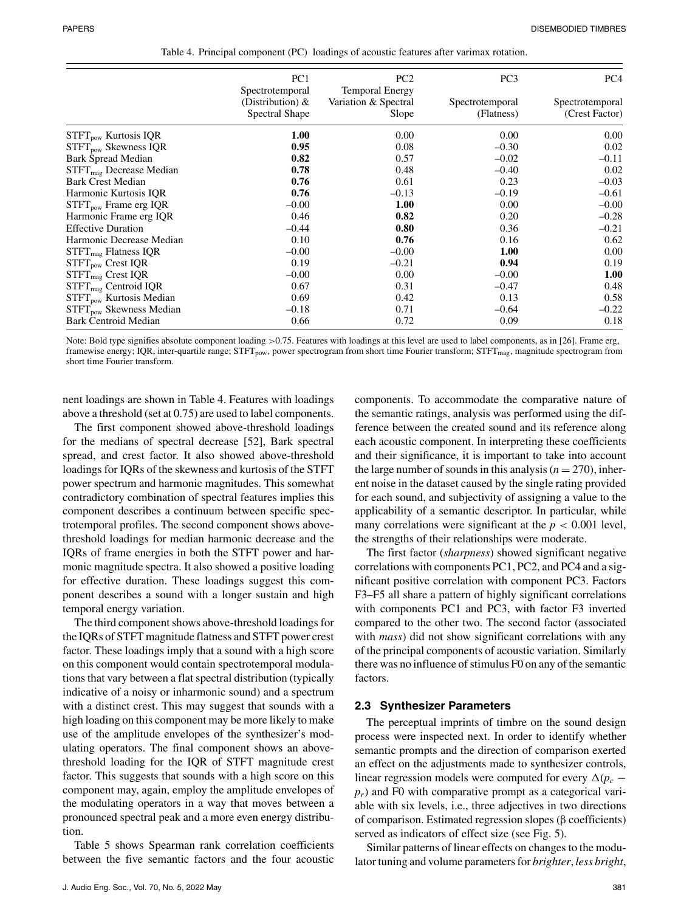|                                     | PC <sub>1</sub>                                          | PC <sub>2</sub>                                         | PC <sub>3</sub>               | PC <sub>4</sub>                   |
|-------------------------------------|----------------------------------------------------------|---------------------------------------------------------|-------------------------------|-----------------------------------|
|                                     | Spectrotemporal<br>(Distribution) $\&$<br>Spectral Shape | <b>Temporal Energy</b><br>Variation & Spectral<br>Slope | Spectrotemporal<br>(Flatness) | Spectrotemporal<br>(Crest Factor) |
| $STFT_{pow}$ Kurtosis IQR           | 1.00                                                     | 0.00                                                    | 0.00                          | 0.00                              |
| $STFT_{\text{now}}$ Skewness IQR    | 0.95                                                     | 0.08                                                    | $-0.30$                       | 0.02                              |
| Bark Spread Median                  | 0.82                                                     | 0.57                                                    | $-0.02$                       | $-0.11$                           |
| $STFTmag$ Decrease Median           | 0.78                                                     | 0.48                                                    | $-0.40$                       | 0.02                              |
| <b>Bark Crest Median</b>            | 0.76                                                     | 0.61                                                    | 0.23                          | $-0.03$                           |
| Harmonic Kurtosis IQR               | 0.76                                                     | $-0.13$                                                 | $-0.19$                       | $-0.61$                           |
| $STFT_{pow}$ Frame erg IQR          | $-0.00$                                                  | 1.00                                                    | 0.00                          | $-0.00$                           |
| Harmonic Frame erg IQR              | 0.46                                                     | 0.82                                                    | 0.20                          | $-0.28$                           |
| <b>Effective Duration</b>           | $-0.44$                                                  | 0.80                                                    | 0.36                          | $-0.21$                           |
| Harmonic Decrease Median            | 0.10                                                     | 0.76                                                    | 0.16                          | 0.62                              |
| $STFTmag$ Flatness IQR              | $-0.00$                                                  | $-0.00$                                                 | 1.00                          | 0.00                              |
| STFT <sub>pow</sub> Crest IQR       | 0.19                                                     | $-0.21$                                                 | 0.94                          | 0.19                              |
| $STFTmag$ Crest IQR                 | $-0.00$                                                  | 0.00                                                    | $-0.00$                       | 1.00                              |
| STFT <sub>mag</sub> Centroid IQR    | 0.67                                                     | 0.31                                                    | $-0.47$                       | 0.48                              |
| $STFTpow$ Kurtosis Median           | 0.69                                                     | 0.42                                                    | 0.13                          | 0.58                              |
| STFT <sub>now</sub> Skewness Median | $-0.18$                                                  | 0.71                                                    | $-0.64$                       | $-0.22$                           |
| <b>Bark Centroid Median</b>         | 0.66                                                     | 0.72                                                    | 0.09                          | 0.18                              |

| Table 4. Principal component (PC) loadings of acoustic features after varimax rotation. |  |  |  |  |  |  |  |
|-----------------------------------------------------------------------------------------|--|--|--|--|--|--|--|
|-----------------------------------------------------------------------------------------|--|--|--|--|--|--|--|

Note: Bold type signifies absolute component loading >0.75. Features with loadings at this level are used to label components, as in [26]. Frame erg, framewise energy; IQR, inter-quartile range; STFT<sub>pow</sub>, power spectrogram from short time Fourier transform; STFT<sub>mag</sub>, magnitude spectrogram from short time Fourier transform.

nent loadings are shown in Table 4. Features with loadings above a threshold (set at 0.75) are used to label components.

The first component showed above-threshold loadings for the medians of spectral decrease [52], Bark spectral spread, and crest factor. It also showed above-threshold loadings for IQRs of the skewness and kurtosis of the STFT power spectrum and harmonic magnitudes. This somewhat contradictory combination of spectral features implies this component describes a continuum between specific spectrotemporal profiles. The second component shows abovethreshold loadings for median harmonic decrease and the IQRs of frame energies in both the STFT power and harmonic magnitude spectra. It also showed a positive loading for effective duration. These loadings suggest this component describes a sound with a longer sustain and high temporal energy variation.

The third component shows above-threshold loadings for the IQRs of STFT magnitude flatness and STFT power crest factor. These loadings imply that a sound with a high score on this component would contain spectrotemporal modulations that vary between a flat spectral distribution (typically indicative of a noisy or inharmonic sound) and a spectrum with a distinct crest. This may suggest that sounds with a high loading on this component may be more likely to make use of the amplitude envelopes of the synthesizer's modulating operators. The final component shows an abovethreshold loading for the IQR of STFT magnitude crest factor. This suggests that sounds with a high score on this component may, again, employ the amplitude envelopes of the modulating operators in a way that moves between a pronounced spectral peak and a more even energy distribution.

Table 5 shows Spearman rank correlation coefficients between the five semantic factors and the four acoustic components. To accommodate the comparative nature of the semantic ratings, analysis was performed using the difference between the created sound and its reference along each acoustic component. In interpreting these coefficients and their significance, it is important to take into account the large number of sounds in this analysis  $(n = 270)$ , inherent noise in the dataset caused by the single rating provided for each sound, and subjectivity of assigning a value to the applicability of a semantic descriptor. In particular, while many correlations were significant at the  $p < 0.001$  level, the strengths of their relationships were moderate.

The first factor (*sharpness*) showed significant negative correlations with components PC1, PC2, and PC4 and a significant positive correlation with component PC3. Factors F3–F5 all share a pattern of highly significant correlations with components PC1 and PC3, with factor F3 inverted compared to the other two. The second factor (associated with *mass*) did not show significant correlations with any of the principal components of acoustic variation. Similarly there was no influence of stimulus F0 on any of the semantic factors.

#### **2.3 Synthesizer Parameters**

The perceptual imprints of timbre on the sound design process were inspected next. In order to identify whether semantic prompts and the direction of comparison exerted an effect on the adjustments made to synthesizer controls, linear regression models were computed for every  $\Delta(p_c$  $p_r$ ) and F0 with comparative prompt as a categorical variable with six levels, i.e., three adjectives in two directions of comparison. Estimated regression slopes (β coefficients) served as indicators of effect size (see Fig. 5).

Similar patterns of linear effects on changes to the modulator tuning and volume parameters for *brighter*, *less bright*,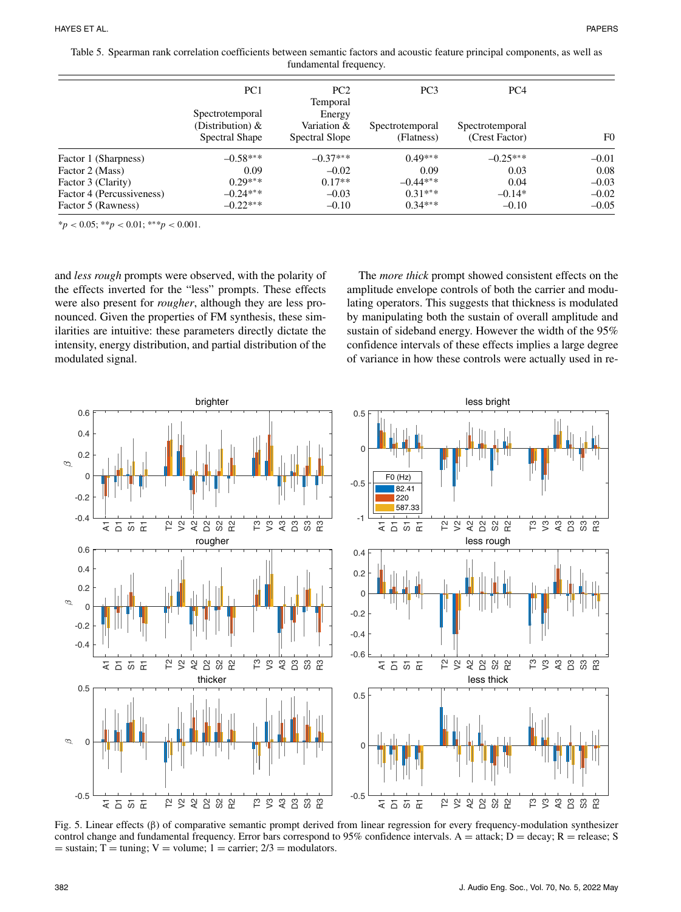| Table 5. Spearman rank correlation coefficients between semantic factors and acoustic feature principal components, as well as |                        |  |
|--------------------------------------------------------------------------------------------------------------------------------|------------------------|--|
|                                                                                                                                | fundamental frequency. |  |

|                           | PC <sub>1</sub>                                          | PC2<br>Temporal                         | PC <sub>3</sub>               | PC <sub>4</sub>                   |                |
|---------------------------|----------------------------------------------------------|-----------------------------------------|-------------------------------|-----------------------------------|----------------|
|                           | Spectrotemporal<br>(Distribution) $\&$<br>Spectral Shape | Energy<br>Variation &<br>Spectral Slope | Spectrotemporal<br>(Flatness) | Spectrotemporal<br>(Crest Factor) | F <sub>0</sub> |
| Factor 1 (Sharpness)      | $-0.58***$                                               | $-0.37***$                              | $0.49***$                     | $-0.25***$                        | $-0.01$        |
| Factor 2 (Mass)           | 0.09                                                     | $-0.02$                                 | 0.09                          | 0.03                              | 0.08           |
| Factor 3 (Clarity)        | $0.29***$                                                | $0.17**$                                | $-0.44***$                    | 0.04                              | $-0.03$        |
| Factor 4 (Percussiveness) | $-0.24***$                                               | $-0.03$                                 | $0.31***$                     | $-0.14*$                          | $-0.02$        |
| Factor 5 (Rawness)        | $-0.22***$                                               | $-0.10$                                 | $0.34***$                     | $-0.10$                           | $-0.05$        |

\**p* < 0.05; \*\**p* < 0.01; \*∗\**p* < 0.001.

and *less rough* prompts were observed, with the polarity of the effects inverted for the "less" prompts. These effects were also present for *rougher*, although they are less pronounced. Given the properties of FM synthesis, these similarities are intuitive: these parameters directly dictate the intensity, energy distribution, and partial distribution of the modulated signal.

The *more thick* prompt showed consistent effects on the amplitude envelope controls of both the carrier and modulating operators. This suggests that thickness is modulated by manipulating both the sustain of overall amplitude and sustain of sideband energy. However the width of the 95% confidence intervals of these effects implies a large degree of variance in how these controls were actually used in re-



Fig. 5. Linear effects (β) of comparative semantic prompt derived from linear regression for every frequency-modulation synthesizer control change and fundamental frequency. Error bars correspond to 95% confidence intervals. A = attack; D = decay; R = release; S  $=$  sustain; T  $=$  tuning; V  $=$  volume; 1  $=$  carrier; 2/3  $=$  modulators.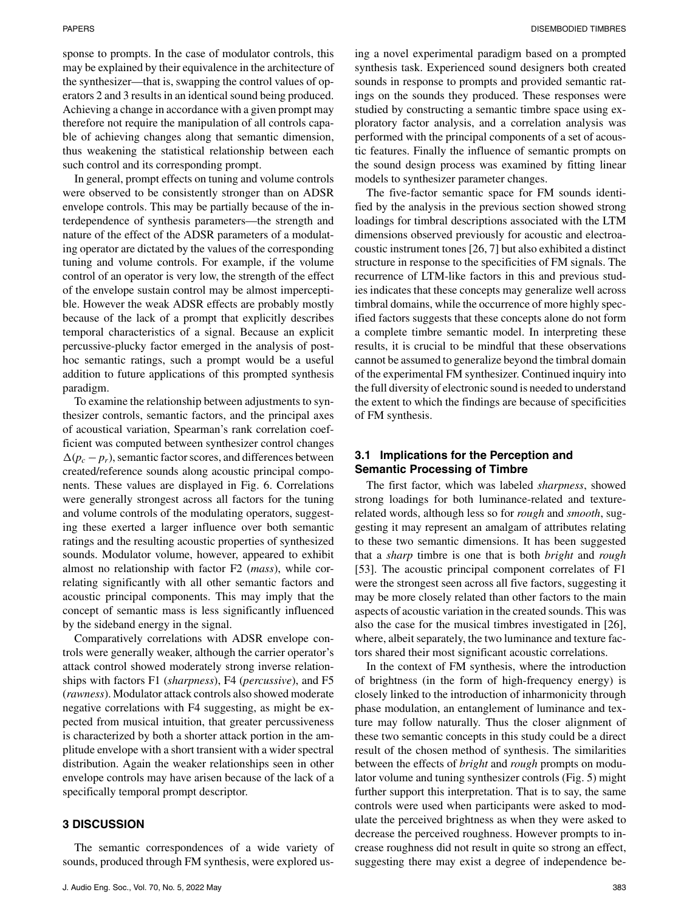sponse to prompts. In the case of modulator controls, this may be explained by their equivalence in the architecture of the synthesizer—that is, swapping the control values of operators 2 and 3 results in an identical sound being produced. Achieving a change in accordance with a given prompt may therefore not require the manipulation of all controls capable of achieving changes along that semantic dimension, thus weakening the statistical relationship between each such control and its corresponding prompt.

In general, prompt effects on tuning and volume controls were observed to be consistently stronger than on ADSR envelope controls. This may be partially because of the interdependence of synthesis parameters—the strength and nature of the effect of the ADSR parameters of a modulating operator are dictated by the values of the corresponding tuning and volume controls. For example, if the volume control of an operator is very low, the strength of the effect of the envelope sustain control may be almost imperceptible. However the weak ADSR effects are probably mostly because of the lack of a prompt that explicitly describes temporal characteristics of a signal. Because an explicit percussive-plucky factor emerged in the analysis of posthoc semantic ratings, such a prompt would be a useful addition to future applications of this prompted synthesis paradigm.

To examine the relationship between adjustments to synthesizer controls, semantic factors, and the principal axes of acoustical variation, Spearman's rank correlation coefficient was computed between synthesizer control changes  $\Delta(p_c - p_r)$ , semantic factor scores, and differences between created/reference sounds along acoustic principal components. These values are displayed in Fig. 6. Correlations were generally strongest across all factors for the tuning and volume controls of the modulating operators, suggesting these exerted a larger influence over both semantic ratings and the resulting acoustic properties of synthesized sounds. Modulator volume, however, appeared to exhibit almost no relationship with factor F2 (*mass*), while correlating significantly with all other semantic factors and acoustic principal components. This may imply that the concept of semantic mass is less significantly influenced by the sideband energy in the signal.

Comparatively correlations with ADSR envelope controls were generally weaker, although the carrier operator's attack control showed moderately strong inverse relationships with factors F1 (*sharpness*), F4 (*percussive*), and F5 (*rawness*). Modulator attack controls also showed moderate negative correlations with F4 suggesting, as might be expected from musical intuition, that greater percussiveness is characterized by both a shorter attack portion in the amplitude envelope with a short transient with a wider spectral distribution. Again the weaker relationships seen in other envelope controls may have arisen because of the lack of a specifically temporal prompt descriptor.

# **3 DISCUSSION**

The semantic correspondences of a wide variety of sounds, produced through FM synthesis, were explored using a novel experimental paradigm based on a prompted synthesis task. Experienced sound designers both created sounds in response to prompts and provided semantic ratings on the sounds they produced. These responses were studied by constructing a semantic timbre space using exploratory factor analysis, and a correlation analysis was performed with the principal components of a set of acoustic features. Finally the influence of semantic prompts on the sound design process was examined by fitting linear models to synthesizer parameter changes.

The five-factor semantic space for FM sounds identified by the analysis in the previous section showed strong loadings for timbral descriptions associated with the LTM dimensions observed previously for acoustic and electroacoustic instrument tones [26, 7] but also exhibited a distinct structure in response to the specificities of FM signals. The recurrence of LTM-like factors in this and previous studies indicates that these concepts may generalize well across timbral domains, while the occurrence of more highly specified factors suggests that these concepts alone do not form a complete timbre semantic model. In interpreting these results, it is crucial to be mindful that these observations cannot be assumed to generalize beyond the timbral domain of the experimental FM synthesizer. Continued inquiry into the full diversity of electronic sound is needed to understand the extent to which the findings are because of specificities of FM synthesis.

# **3.1 Implications for the Perception and Semantic Processing of Timbre**

The first factor, which was labeled *sharpness*, showed strong loadings for both luminance-related and texturerelated words, although less so for *rough* and *smooth*, suggesting it may represent an amalgam of attributes relating to these two semantic dimensions. It has been suggested that a *sharp* timbre is one that is both *bright* and *rough* [53]. The acoustic principal component correlates of F1 were the strongest seen across all five factors, suggesting it may be more closely related than other factors to the main aspects of acoustic variation in the created sounds. This was also the case for the musical timbres investigated in [26], where, albeit separately, the two luminance and texture factors shared their most significant acoustic correlations.

In the context of FM synthesis, where the introduction of brightness (in the form of high-frequency energy) is closely linked to the introduction of inharmonicity through phase modulation, an entanglement of luminance and texture may follow naturally. Thus the closer alignment of these two semantic concepts in this study could be a direct result of the chosen method of synthesis. The similarities between the effects of *bright* and *rough* prompts on modulator volume and tuning synthesizer controls (Fig. 5) might further support this interpretation. That is to say, the same controls were used when participants were asked to modulate the perceived brightness as when they were asked to decrease the perceived roughness. However prompts to increase roughness did not result in quite so strong an effect, suggesting there may exist a degree of independence be-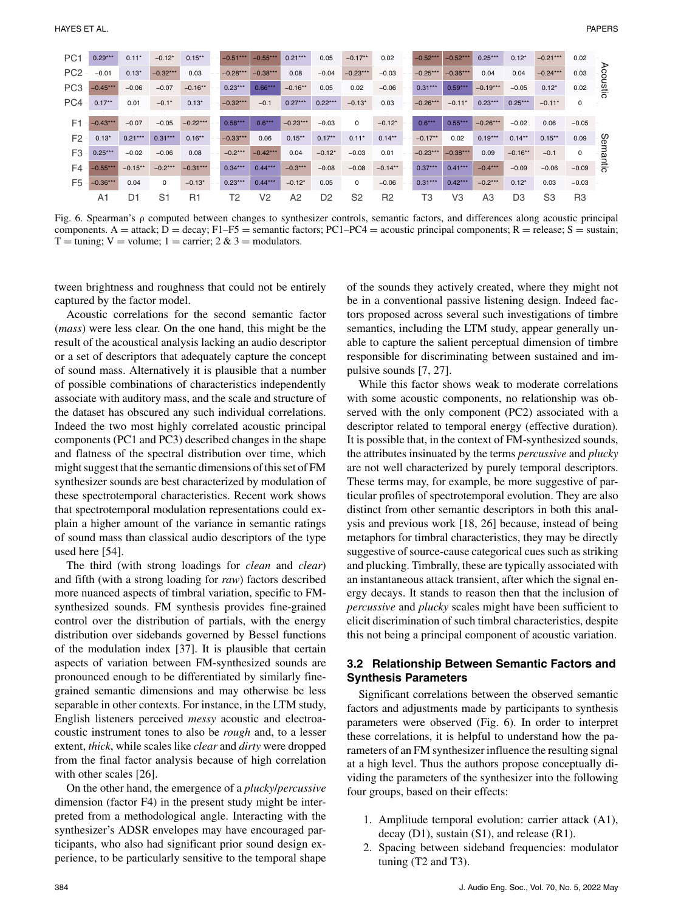| PC <sub>1</sub> | $0.29***$  | $0.11*$        | $-0.12*$       | $0.15***$      | $-0.51***$ | $-0.55***$     | $0.21***$  | 0.05           | $-0.17***$     | 0.02           | $-0.52***$ | $-0.52***$     | $0.25***$  | $0.12*$        | $-0.21***$     | 0.02        |         |
|-----------------|------------|----------------|----------------|----------------|------------|----------------|------------|----------------|----------------|----------------|------------|----------------|------------|----------------|----------------|-------------|---------|
| PC <sub>2</sub> | $-0.01$    | $0.13*$        | $-0.32***$     | 0.03           | $-0.28***$ | $-0.38***$     | 0.08       | $-0.04$        | $-0.23***$     | $-0.03$        | $-0.25***$ | $-0.36***$     | 0.04       | 0.04           | $-0.24***$     | 0.03        | ⋗       |
| PC <sub>3</sub> | $-0.45***$ | $-0.06$        | $-0.07$        | $-0.16***$     | $0.23***$  | $0.66***$      | $-0.16***$ | 0.05           | 0.02           | $-0.06$        | $0.31***$  | $0.59***$      | $-0.19***$ | $-0.05$        | $0.12*$        | 0.02        | coustic |
| PC4             | $0.17***$  | 0.01           | $-0.1*$        | $0.13*$        | $-0.32***$ | $-0.1$         | $0.27***$  | $0.22***$      | $-0.13*$       | 0.03           | $-0.26***$ | $-0.11*$       | $0.23***$  | $0.25***$      | $-0.11*$       | $\mathbf 0$ |         |
|                 |            |                |                |                |            |                |            |                |                |                |            |                |            |                |                |             |         |
| F <sub>1</sub>  | $-0.43***$ | $-0.07$        | $-0.05$        | $-0.22***$     | $0.58***$  | $0.6***$       | $-0.23***$ | $-0.03$        | 0              | $-0.12*$       | $0.6***$   | $0.55***$      | $-0.26***$ | $-0.02$        | 0.06           | $-0.05$     |         |
| F <sub>2</sub>  | $0.13*$    | $0.21***$      | $0.31***$      | $0.16***$      | $-0.33***$ | 0.06           | $0.15***$  | $0.17***$      | $0.11*$        | $0.14***$      | $-0.17**$  | 0.02           | $0.19***$  | $0.14***$      | $0.15***$      | 0.09        | တ္တ     |
| F <sub>3</sub>  | $0.25***$  | $-0.02$        | $-0.06$        | 0.08           | $-0.2***$  | $-0.42***$     | 0.04       | $-0.12*$       | $-0.03$        | 0.01           | $-0.23***$ | $-0.38***$     | 0.09       | $-0.16***$     | $-0.1$         | $\mathbf 0$ | smantic |
| F4              | $-0.55***$ | $-0.15***$     | $-0.2***$      | $-0.31***$     | $0.34***$  | $0.44***$      | $-0.3***$  | $-0.08$        | $-0.08$        | $-0.14**$      | $0.37***$  | $0.41***$      | $-0.4***$  | $-0.09$        | $-0.06$        | $-0.09$     |         |
| F <sub>5</sub>  | $-0.36***$ | 0.04           | 0              | $-0.13*$       | $0.23***$  | $0.44***$      | $-0.12*$   | 0.05           | 0              | $-0.06$        | $0.31***$  | $0.42***$      | $-0.2***$  | $0.12*$        | 0.03           | $-0.03$     |         |
|                 | A1         | D <sub>1</sub> | S <sub>1</sub> | R <sub>1</sub> | T2         | V <sub>2</sub> | A2         | D <sub>2</sub> | S <sub>2</sub> | R <sub>2</sub> | T3         | V <sub>3</sub> | A3         | D <sub>3</sub> | S <sub>3</sub> | R3          |         |

Fig. 6. Spearman's ρ computed between changes to synthesizer controls, semantic factors, and differences along acoustic principal components. A = attack; D = decay; F1–F5 = semantic factors; PC1–PC4 = acoustic principal components; R = release; S = sustain;  $T = \text{tuning}; V = \text{volume}; 1 = \text{carrier}; 2 \& 3 = \text{modulators}.$ 

tween brightness and roughness that could not be entirely captured by the factor model.

Acoustic correlations for the second semantic factor (*mass*) were less clear. On the one hand, this might be the result of the acoustical analysis lacking an audio descriptor or a set of descriptors that adequately capture the concept of sound mass. Alternatively it is plausible that a number of possible combinations of characteristics independently associate with auditory mass, and the scale and structure of the dataset has obscured any such individual correlations. Indeed the two most highly correlated acoustic principal components (PC1 and PC3) described changes in the shape and flatness of the spectral distribution over time, which might suggest that the semantic dimensions of this set of FM synthesizer sounds are best characterized by modulation of these spectrotemporal characteristics. Recent work shows that spectrotemporal modulation representations could explain a higher amount of the variance in semantic ratings of sound mass than classical audio descriptors of the type used here [54].

The third (with strong loadings for *clean* and *clear*) and fifth (with a strong loading for *raw*) factors described more nuanced aspects of timbral variation, specific to FMsynthesized sounds. FM synthesis provides fine-grained control over the distribution of partials, with the energy distribution over sidebands governed by Bessel functions of the modulation index [37]. It is plausible that certain aspects of variation between FM-synthesized sounds are pronounced enough to be differentiated by similarly finegrained semantic dimensions and may otherwise be less separable in other contexts. For instance, in the LTM study, English listeners perceived *messy* acoustic and electroacoustic instrument tones to also be *rough* and, to a lesser extent, *thick*, while scales like *clear* and *dirty* were dropped from the final factor analysis because of high correlation with other scales [26].

On the other hand, the emergence of a *plucky*/*percussive* dimension (factor F4) in the present study might be interpreted from a methodological angle. Interacting with the synthesizer's ADSR envelopes may have encouraged participants, who also had significant prior sound design experience, to be particularly sensitive to the temporal shape of the sounds they actively created, where they might not be in a conventional passive listening design. Indeed factors proposed across several such investigations of timbre semantics, including the LTM study, appear generally unable to capture the salient perceptual dimension of timbre responsible for discriminating between sustained and impulsive sounds [7, 27].

While this factor shows weak to moderate correlations with some acoustic components, no relationship was observed with the only component (PC2) associated with a descriptor related to temporal energy (effective duration). It is possible that, in the context of FM-synthesized sounds, the attributes insinuated by the terms *percussive* and *plucky* are not well characterized by purely temporal descriptors. These terms may, for example, be more suggestive of particular profiles of spectrotemporal evolution. They are also distinct from other semantic descriptors in both this analysis and previous work [18, 26] because, instead of being metaphors for timbral characteristics, they may be directly suggestive of source-cause categorical cues such as striking and plucking. Timbrally, these are typically associated with an instantaneous attack transient, after which the signal energy decays. It stands to reason then that the inclusion of *percussive* and *plucky* scales might have been sufficient to elicit discrimination of such timbral characteristics, despite this not being a principal component of acoustic variation.

## **3.2 Relationship Between Semantic Factors and Synthesis Parameters**

Significant correlations between the observed semantic factors and adjustments made by participants to synthesis parameters were observed (Fig. 6). In order to interpret these correlations, it is helpful to understand how the parameters of an FM synthesizer influence the resulting signal at a high level. Thus the authors propose conceptually dividing the parameters of the synthesizer into the following four groups, based on their effects:

- 1. Amplitude temporal evolution: carrier attack (A1), decay (D1), sustain (S1), and release (R1).
- 2. Spacing between sideband frequencies: modulator tuning (T2 and T3).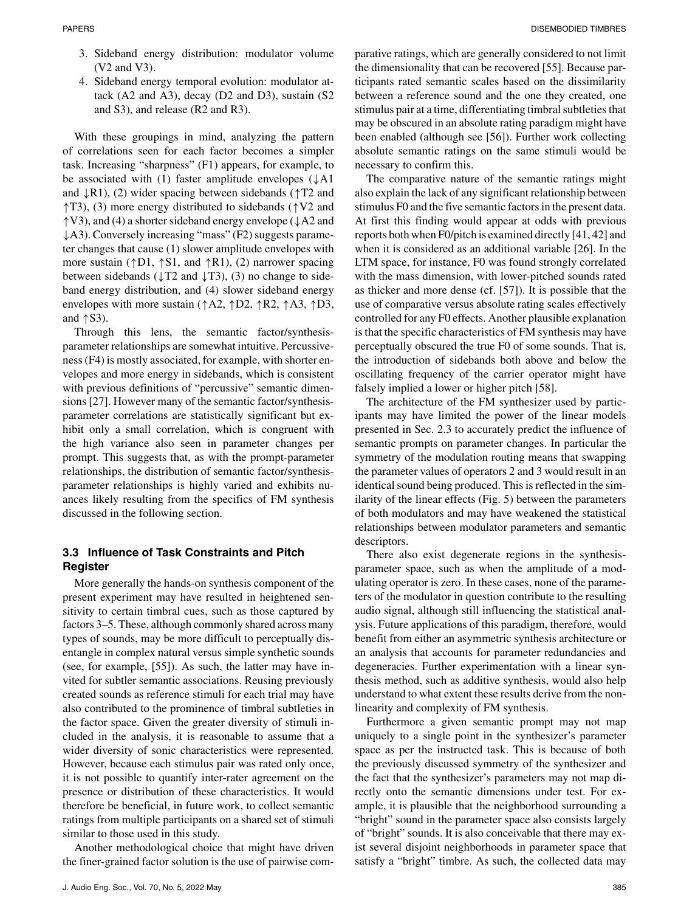- 3. Sideband energy distribution: modulator volume (V2 and V3).
- 4. Sideband energy temporal evolution: modulator attack (A2 and A3), decay (D2 and D3), sustain (S2 and S3), and release (R2 and R3).

With these groupings in mind, analyzing the pattern of correlations seen for each factor becomes a simpler task. Increasing "sharpness" (F1) appears, for example, to be associated with (1) faster amplitude envelopes  $(\downarrow A1)$ and  $\downarrow$ R1), (2) wider spacing between sidebands ( $\uparrow$ T2 and ↑T3), (3) more energy distributed to sidebands (↑V2 and ↑V3), and (4) a shorter sideband energy envelope (↓A2 and ↓A3). Conversely increasing "mass" (F2) suggests parameter changes that cause (1) slower amplitude envelopes with more sustain ( $\uparrow$ D1,  $\uparrow$ S1, and  $\uparrow$ R1), (2) narrower spacing between sidebands ( $\downarrow$ T2 and  $\downarrow$ T3), (3) no change to sideband energy distribution, and (4) slower sideband energy envelopes with more sustain ( $\uparrow$ A2,  $\uparrow$ D2,  $\uparrow$ R2,  $\uparrow$ A3,  $\uparrow$ D3, and  $\uparrow$  S3).

Through this lens, the semantic factor/synthesisparameter relationships are somewhat intuitive. Percussiveness (F4) is mostly associated, for example, with shorter envelopes and more energy in sidebands, which is consistent with previous definitions of "percussive" semantic dimensions [27]. However many of the semantic factor/synthesisparameter correlations are statistically significant but exhibit only a small correlation, which is congruent with the high variance also seen in parameter changes per prompt. This suggests that, as with the prompt-parameter relationships, the distribution of semantic factor/synthesisparameter relationships is highly varied and exhibits nuances likely resulting from the specifics of FM synthesis discussed in the following section.

# **3.3 Influence of Task Constraints and Pitch Register**

More generally the hands-on synthesis component of the present experiment may have resulted in heightened sensitivity to certain timbral cues, such as those captured by factors 3–5. These, although commonly shared across many types of sounds, may be more difficult to perceptually disentangle in complex natural versus simple synthetic sounds (see, for example, [55]). As such, the latter may have invited for subtler semantic associations. Reusing previously created sounds as reference stimuli for each trial may have also contributed to the prominence of timbral subtleties in the factor space. Given the greater diversity of stimuli included in the analysis, it is reasonable to assume that a wider diversity of sonic characteristics were represented. However, because each stimulus pair was rated only once, it is not possible to quantify inter-rater agreement on the presence or distribution of these characteristics. It would therefore be beneficial, in future work, to collect semantic ratings from multiple participants on a shared set of stimuli similar to those used in this study.

Another methodological choice that might have driven the finer-grained factor solution is the use of pairwise comparative ratings, which are generally considered to not limit the dimensionality that can be recovered [55]. Because participants rated semantic scales based on the dissimilarity between a reference sound and the one they created, one stimulus pair at a time, differentiating timbral subtleties that may be obscured in an absolute rating paradigm might have been enabled (although see [56]). Further work collecting absolute semantic ratings on the same stimuli would be necessary to confirm this.

The comparative nature of the semantic ratings might also explain the lack of any significant relationship between stimulus F0 and the five semantic factors in the present data. At first this finding would appear at odds with previous reports both when F0/pitch is examined directly [41, 42] and when it is considered as an additional variable [26]. In the LTM space, for instance, F0 was found strongly correlated with the mass dimension, with lower-pitched sounds rated as thicker and more dense (cf. [57]). It is possible that the use of comparative versus absolute rating scales effectively controlled for any F0 effects. Another plausible explanation is that the specific characteristics of FM synthesis may have perceptually obscured the true F0 of some sounds. That is, the introduction of sidebands both above and below the oscillating frequency of the carrier operator might have falsely implied a lower or higher pitch [58].

The architecture of the FM synthesizer used by participants may have limited the power of the linear models presented in Sec. 2.3 to accurately predict the influence of semantic prompts on parameter changes. In particular the symmetry of the modulation routing means that swapping the parameter values of operators 2 and 3 would result in an identical sound being produced. This is reflected in the similarity of the linear effects (Fig. 5) between the parameters of both modulators and may have weakened the statistical relationships between modulator parameters and semantic descriptors.

There also exist degenerate regions in the synthesisparameter space, such as when the amplitude of a modulating operator is zero. In these cases, none of the parameters of the modulator in question contribute to the resulting audio signal, although still influencing the statistical analysis. Future applications of this paradigm, therefore, would benefit from either an asymmetric synthesis architecture or an analysis that accounts for parameter redundancies and degeneracies. Further experimentation with a linear synthesis method, such as additive synthesis, would also help understand to what extent these results derive from the nonlinearity and complexity of FM synthesis.

Furthermore a given semantic prompt may not map uniquely to a single point in the synthesizer's parameter space as per the instructed task. This is because of both the previously discussed symmetry of the synthesizer and the fact that the synthesizer's parameters may not map directly onto the semantic dimensions under test. For example, it is plausible that the neighborhood surrounding a "bright" sound in the parameter space also consists largely of "bright" sounds. It is also conceivable that there may exist several disjoint neighborhoods in parameter space that satisfy a "bright" timbre. As such, the collected data may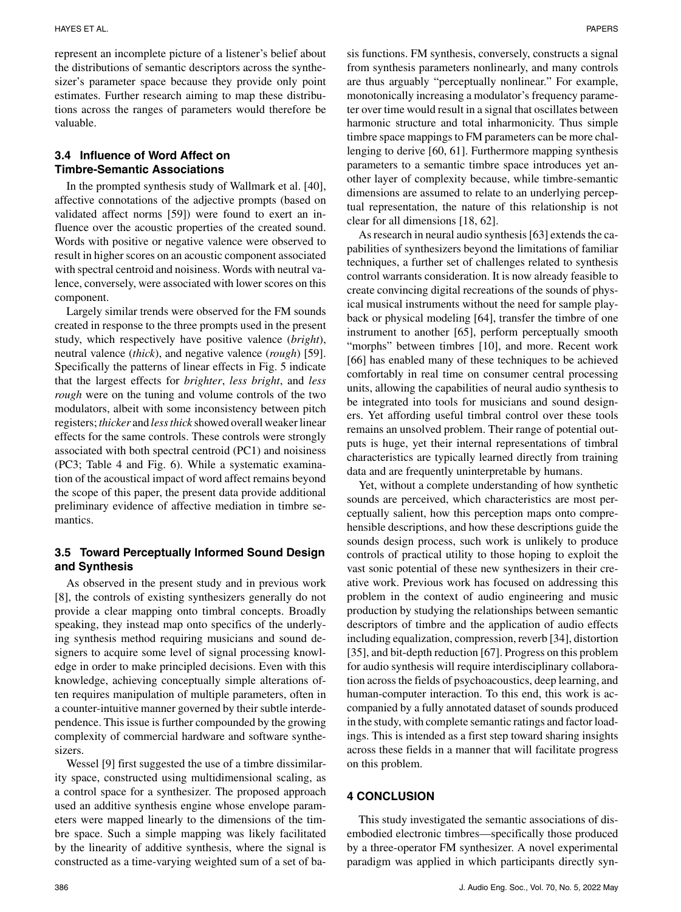represent an incomplete picture of a listener's belief about the distributions of semantic descriptors across the synthesizer's parameter space because they provide only point estimates. Further research aiming to map these distributions across the ranges of parameters would therefore be valuable.

# **3.4 Influence of Word Affect on Timbre-Semantic Associations**

In the prompted synthesis study of Wallmark et al. [40], affective connotations of the adjective prompts (based on validated affect norms [59]) were found to exert an influence over the acoustic properties of the created sound. Words with positive or negative valence were observed to result in higher scores on an acoustic component associated with spectral centroid and noisiness. Words with neutral valence, conversely, were associated with lower scores on this component.

Largely similar trends were observed for the FM sounds created in response to the three prompts used in the present study, which respectively have positive valence (*bright*), neutral valence (*thick*), and negative valence (*rough*) [59]. Specifically the patterns of linear effects in Fig. 5 indicate that the largest effects for *brighter*, *less bright*, and *less rough* were on the tuning and volume controls of the two modulators, albeit with some inconsistency between pitch registers; *thicker* and *less thick* showed overall weaker linear effects for the same controls. These controls were strongly associated with both spectral centroid (PC1) and noisiness (PC3; Table 4 and Fig. 6). While a systematic examination of the acoustical impact of word affect remains beyond the scope of this paper, the present data provide additional preliminary evidence of affective mediation in timbre semantics.

# **3.5 Toward Perceptually Informed Sound Design and Synthesis**

As observed in the present study and in previous work [8], the controls of existing synthesizers generally do not provide a clear mapping onto timbral concepts. Broadly speaking, they instead map onto specifics of the underlying synthesis method requiring musicians and sound designers to acquire some level of signal processing knowledge in order to make principled decisions. Even with this knowledge, achieving conceptually simple alterations often requires manipulation of multiple parameters, often in a counter-intuitive manner governed by their subtle interdependence. This issue is further compounded by the growing complexity of commercial hardware and software synthesizers.

Wessel [9] first suggested the use of a timbre dissimilarity space, constructed using multidimensional scaling, as a control space for a synthesizer. The proposed approach used an additive synthesis engine whose envelope parameters were mapped linearly to the dimensions of the timbre space. Such a simple mapping was likely facilitated by the linearity of additive synthesis, where the signal is constructed as a time-varying weighted sum of a set of ba-

sis functions. FM synthesis, conversely, constructs a signal from synthesis parameters nonlinearly, and many controls are thus arguably "perceptually nonlinear." For example, monotonically increasing a modulator's frequency parameter over time would result in a signal that oscillates between harmonic structure and total inharmonicity. Thus simple timbre space mappings to FM parameters can be more challenging to derive [60, 61]. Furthermore mapping synthesis parameters to a semantic timbre space introduces yet another layer of complexity because, while timbre-semantic dimensions are assumed to relate to an underlying perceptual representation, the nature of this relationship is not clear for all dimensions [18, 62].

As research in neural audio synthesis [63] extends the capabilities of synthesizers beyond the limitations of familiar techniques, a further set of challenges related to synthesis control warrants consideration. It is now already feasible to create convincing digital recreations of the sounds of physical musical instruments without the need for sample playback or physical modeling [64], transfer the timbre of one instrument to another [65], perform perceptually smooth "morphs" between timbres [10], and more. Recent work [66] has enabled many of these techniques to be achieved comfortably in real time on consumer central processing units, allowing the capabilities of neural audio synthesis to be integrated into tools for musicians and sound designers. Yet affording useful timbral control over these tools remains an unsolved problem. Their range of potential outputs is huge, yet their internal representations of timbral characteristics are typically learned directly from training data and are frequently uninterpretable by humans.

Yet, without a complete understanding of how synthetic sounds are perceived, which characteristics are most perceptually salient, how this perception maps onto comprehensible descriptions, and how these descriptions guide the sounds design process, such work is unlikely to produce controls of practical utility to those hoping to exploit the vast sonic potential of these new synthesizers in their creative work. Previous work has focused on addressing this problem in the context of audio engineering and music production by studying the relationships between semantic descriptors of timbre and the application of audio effects including equalization, compression, reverb [34], distortion [35], and bit-depth reduction [67]. Progress on this problem for audio synthesis will require interdisciplinary collaboration across the fields of psychoacoustics, deep learning, and human-computer interaction. To this end, this work is accompanied by a fully annotated dataset of sounds produced in the study, with complete semantic ratings and factor loadings. This is intended as a first step toward sharing insights across these fields in a manner that will facilitate progress on this problem.

## **4 CONCLUSION**

This study investigated the semantic associations of disembodied electronic timbres—specifically those produced by a three-operator FM synthesizer. A novel experimental paradigm was applied in which participants directly syn-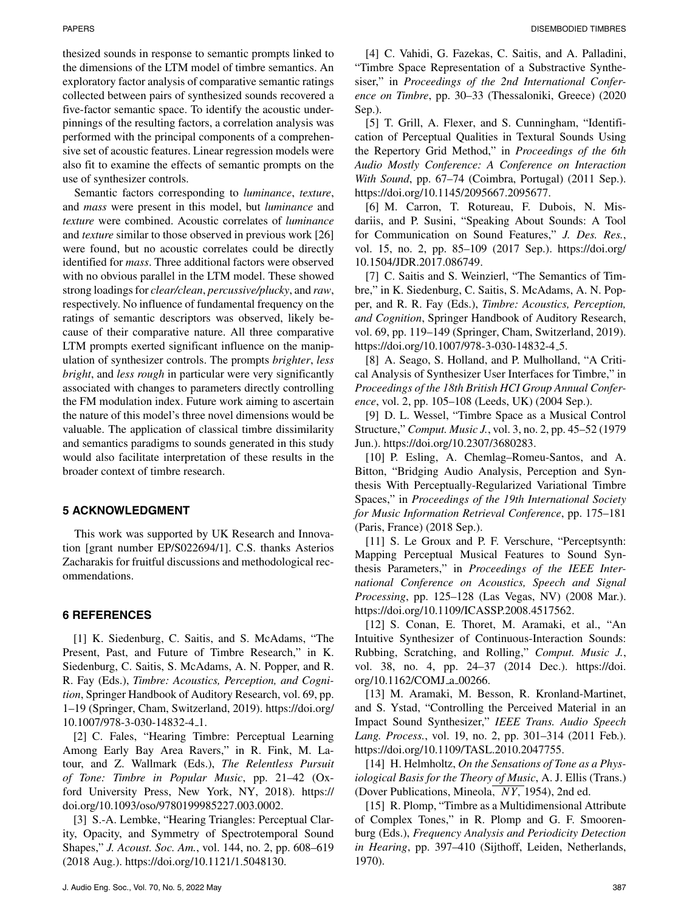thesized sounds in response to semantic prompts linked to the dimensions of the LTM model of timbre semantics. An exploratory factor analysis of comparative semantic ratings collected between pairs of synthesized sounds recovered a five-factor semantic space. To identify the acoustic underpinnings of the resulting factors, a correlation analysis was performed with the principal components of a comprehensive set of acoustic features. Linear regression models were also fit to examine the effects of semantic prompts on the use of synthesizer controls.

Semantic factors corresponding to *luminance*, *texture*, and *mass* were present in this model, but *luminance* and *texture* were combined. Acoustic correlates of *luminance* and *texture* similar to those observed in previous work [26] were found, but no acoustic correlates could be directly identified for *mass*. Three additional factors were observed with no obvious parallel in the LTM model. These showed strong loadings for *clear/clean*, *percussive/plucky*, and *raw*, respectively. No influence of fundamental frequency on the ratings of semantic descriptors was observed, likely because of their comparative nature. All three comparative LTM prompts exerted significant influence on the manipulation of synthesizer controls. The prompts *brighter*, *less bright*, and *less rough* in particular were very significantly associated with changes to parameters directly controlling the FM modulation index. Future work aiming to ascertain the nature of this model's three novel dimensions would be valuable. The application of classical timbre dissimilarity and semantics paradigms to sounds generated in this study would also facilitate interpretation of these results in the broader context of timbre research.

## **5 ACKNOWLEDGMENT**

This work was supported by UK Research and Innovation [grant number EP/S022694/1]. C.S. thanks Asterios Zacharakis for fruitful discussions and methodological recommendations.

# **6 REFERENCES**

[1] K. Siedenburg, C. Saitis, and S. McAdams, "The Present, Past, and Future of Timbre Research," in K. Siedenburg, C. Saitis, S. McAdams, A. N. Popper, and R. R. Fay (Eds.), *Timbre: Acoustics, Perception, and Cognition*, Springer Handbook of Auditory Research, vol. 69, pp. 1–19 (Springer, Cham, Switzerland, 2019). https://doi.org/ 10.1007/978-3-030-14832-4 1.

[2] C. Fales, "Hearing Timbre: Perceptual Learning Among Early Bay Area Ravers," in R. Fink, M. Latour, and Z. Wallmark (Eds.), *The Relentless Pursuit of Tone: Timbre in Popular Music*, pp. 21–42 (Oxford University Press, New York, NY, 2018). https:// doi.org/10.1093/oso/9780199985227.003.0002.

[3] S.-A. Lembke, "Hearing Triangles: Perceptual Clarity, Opacity, and Symmetry of Spectrotemporal Sound Shapes," *J. Acoust. Soc. Am.*, vol. 144, no. 2, pp. 608–619 (2018 Aug.). https://doi.org/10.1121/1.5048130.

[4] C. Vahidi, G. Fazekas, C. Saitis, and A. Palladini, "Timbre Space Representation of a Substractive Synthesiser," in *Proceedings of the 2nd International Conference on Timbre*, pp. 30–33 (Thessaloniki, Greece) (2020 Sep.).

[5] T. Grill, A. Flexer, and S. Cunningham, "Identification of Perceptual Qualities in Textural Sounds Using the Repertory Grid Method," in *Proceedings of the 6th Audio Mostly Conference: A Conference on Interaction With Sound*, pp. 67–74 (Coimbra, Portugal) (2011 Sep.). https://doi.org/10.1145/2095667.2095677.

[6] M. Carron, T. Rotureau, F. Dubois, N. Misdariis, and P. Susini, "Speaking About Sounds: A Tool for Communication on Sound Features," *J. Des. Res.*, vol. 15, no. 2, pp. 85–109 (2017 Sep.). https://doi.org/ 10.1504/JDR.2017.086749.

[7] C. Saitis and S. Weinzierl, "The Semantics of Timbre," in K. Siedenburg, C. Saitis, S. McAdams, A. N. Popper, and R. R. Fay (Eds.), *Timbre: Acoustics, Perception, and Cognition*, Springer Handbook of Auditory Research, vol. 69, pp. 119–149 (Springer, Cham, Switzerland, 2019). https://doi.org/10.1007/978-3-030-14832-4 5.

[8] A. Seago, S. Holland, and P. Mulholland, "A Critical Analysis of Synthesizer User Interfaces for Timbre," in *Proceedings of the 18th British HCI Group Annual Conference*, vol. 2, pp. 105–108 (Leeds, UK) (2004 Sep.).

[9] D. L. Wessel, "Timbre Space as a Musical Control Structure," *Comput. Music J.*, vol. 3, no. 2, pp. 45–52 (1979 Jun.). https://doi.org/10.2307/3680283.

[10] P. Esling, A. Chemlag–Romeu-Santos, and A. Bitton, "Bridging Audio Analysis, Perception and Synthesis With Perceptually-Regularized Variational Timbre Spaces," in *Proceedings of the 19th International Society for Music Information Retrieval Conference*, pp. 175–181 (Paris, France) (2018 Sep.).

[11] S. Le Groux and P. F. Verschure, "Perceptsynth: Mapping Perceptual Musical Features to Sound Synthesis Parameters," in *Proceedings of the IEEE International Conference on Acoustics, Speech and Signal Processing*, pp. 125–128 (Las Vegas, NV) (2008 Mar.). https://doi.org/10.1109/ICASSP.2008.4517562.

[12] S. Conan, E. Thoret, M. Aramaki, et al., "An Intuitive Synthesizer of Continuous-Interaction Sounds: Rubbing, Scratching, and Rolling," *Comput. Music J.*, vol. 38, no. 4, pp. 24–37 (2014 Dec.). https://doi. org/10.1162/COMJ a 00266.

[13] M. Aramaki, M. Besson, R. Kronland-Martinet, and S. Ystad, "Controlling the Perceived Material in an Impact Sound Synthesizer," *IEEE Trans. Audio Speech Lang. Process.*, vol. 19, no. 2, pp. 301–314 (2011 Feb.). https://doi.org/10.1109/TASL.2010.2047755.

[14] H. Helmholtz, *On the Sensations of Tone as a Physiological Basis for the Theory of Music*, A. J. Ellis (Trans.) (Dover Publications, Mineola, *N Y*, 1954), 2nd ed.

[15] R. Plomp, "Timbre as a Multidimensional Attribute of Complex Tones," in R. Plomp and G. F. Smoorenburg (Eds.), *Frequency Analysis and Periodicity Detection in Hearing*, pp. 397–410 (Sijthoff, Leiden, Netherlands, 1970).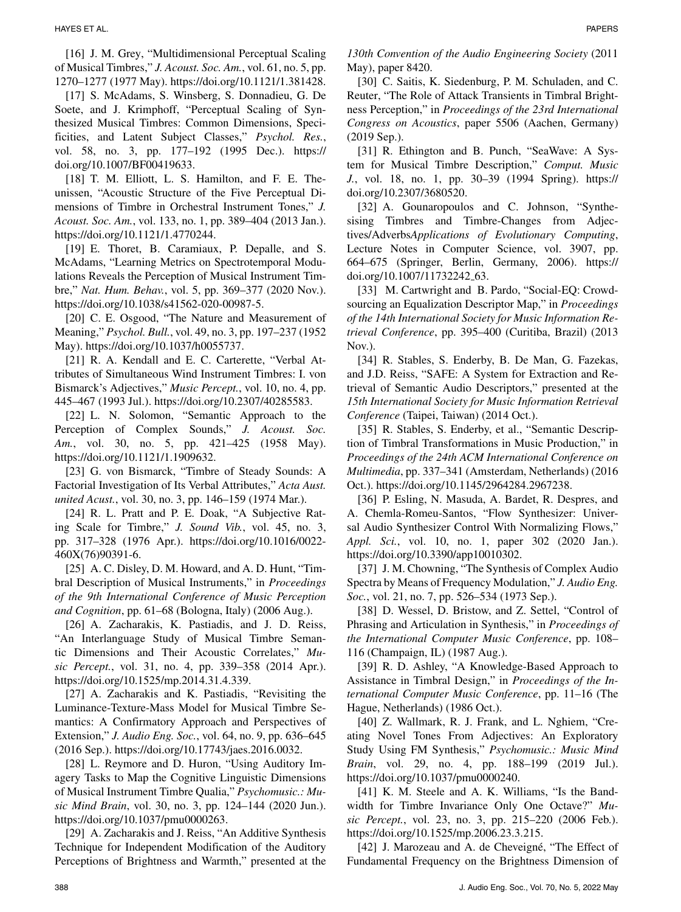[16] J. M. Grey, "Multidimensional Perceptual Scaling of Musical Timbres," *J. Acoust. Soc. Am.*, vol. 61, no. 5, pp. 1270–1277 (1977 May). https://doi.org/10.1121/1.381428.

[17] S. McAdams, S. Winsberg, S. Donnadieu, G. De Soete, and J. Krimphoff, "Perceptual Scaling of Synthesized Musical Timbres: Common Dimensions, Specificities, and Latent Subject Classes," *Psychol. Res.*, vol. 58, no. 3, pp. 177–192 (1995 Dec.). https:// doi.org/10.1007/BF00419633.

[18] T. M. Elliott, L. S. Hamilton, and F. E. Theunissen, "Acoustic Structure of the Five Perceptual Dimensions of Timbre in Orchestral Instrument Tones," *J. Acoust. Soc. Am.*, vol. 133, no. 1, pp. 389–404 (2013 Jan.). https://doi.org/10.1121/1.4770244.

[19] E. Thoret, B. Caramiaux, P. Depalle, and S. McAdams, "Learning Metrics on Spectrotemporal Modulations Reveals the Perception of Musical Instrument Timbre," *Nat. Hum. Behav.*, vol. 5, pp. 369–377 (2020 Nov.). https://doi.org/10.1038/s41562-020-00987-5.

[20] C. E. Osgood, "The Nature and Measurement of Meaning," *Psychol. Bull.*, vol. 49, no. 3, pp. 197–237 (1952 May). https://doi.org/10.1037/h0055737.

[21] R. A. Kendall and E. C. Carterette, "Verbal Attributes of Simultaneous Wind Instrument Timbres: I. von Bismarck's Adjectives," *Music Percept.*, vol. 10, no. 4, pp. 445–467 (1993 Jul.). https://doi.org/10.2307/40285583.

[22] L. N. Solomon, "Semantic Approach to the Perception of Complex Sounds," *J. Acoust. Soc. Am.*, vol. 30, no. 5, pp. 421–425 (1958 May). https://doi.org/10.1121/1.1909632.

[23] G. von Bismarck, "Timbre of Steady Sounds: A Factorial Investigation of Its Verbal Attributes," *Acta Aust. united Acust.*, vol. 30, no. 3, pp. 146–159 (1974 Mar.).

[24] R. L. Pratt and P. E. Doak, "A Subjective Rating Scale for Timbre," *J. Sound Vib.*, vol. 45, no. 3, pp. 317–328 (1976 Apr.). https://doi.org/10.1016/0022- 460X(76)90391-6.

[25] A. C. Disley, D. M. Howard, and A. D. Hunt, "Timbral Description of Musical Instruments," in *Proceedings of the 9th International Conference of Music Perception and Cognition*, pp. 61–68 (Bologna, Italy) (2006 Aug.).

[26] A. Zacharakis, K. Pastiadis, and J. D. Reiss, "An Interlanguage Study of Musical Timbre Semantic Dimensions and Their Acoustic Correlates," *Music Percept.*, vol. 31, no. 4, pp. 339–358 (2014 Apr.). https://doi.org/10.1525/mp.2014.31.4.339.

[27] A. Zacharakis and K. Pastiadis, "Revisiting the Luminance-Texture-Mass Model for Musical Timbre Semantics: A Confirmatory Approach and Perspectives of Extension," *J. Audio Eng. Soc.*, vol. 64, no. 9, pp. 636–645 (2016 Sep.). https://doi.org/10.17743/jaes.2016.0032.

[28] L. Reymore and D. Huron, "Using Auditory Imagery Tasks to Map the Cognitive Linguistic Dimensions of Musical Instrument Timbre Qualia," *Psychomusic.: Music Mind Brain*, vol. 30, no. 3, pp. 124–144 (2020 Jun.). https://doi.org/10.1037/pmu0000263.

[29] A. Zacharakis and J. Reiss, "An Additive Synthesis Technique for Independent Modification of the Auditory Perceptions of Brightness and Warmth," presented at the

[30] C. Saitis, K. Siedenburg, P. M. Schuladen, and C. Reuter, "The Role of Attack Transients in Timbral Brightness Perception," in *Proceedings of the 23rd International Congress on Acoustics*, paper 5506 (Aachen, Germany) (2019 Sep.).

[31] R. Ethington and B. Punch, "SeaWave: A System for Musical Timbre Description," *Comput. Music J.*, vol. 18, no. 1, pp. 30–39 (1994 Spring). https:// doi.org/10.2307/3680520.

[32] A. Gounaropoulos and C. Johnson, "Synthesising Timbres and Timbre-Changes from Adjectives/Adverbs*Applications of Evolutionary Computing*, Lecture Notes in Computer Science, vol. 3907, pp. 664–675 (Springer, Berlin, Germany, 2006). https:// doi.org/10.1007/11732242 63.

[33] M. Cartwright and B. Pardo, "Social-EQ: Crowdsourcing an Equalization Descriptor Map," in *Proceedings of the 14th International Society for Music Information Retrieval Conference*, pp. 395–400 (Curitiba, Brazil) (2013 Nov.).

[34] R. Stables, S. Enderby, B. De Man, G. Fazekas, and J.D. Reiss, "SAFE: A System for Extraction and Retrieval of Semantic Audio Descriptors," presented at the *15th International Society for Music Information Retrieval Conference* (Taipei, Taiwan) (2014 Oct.).

[35] R. Stables, S. Enderby, et al., "Semantic Description of Timbral Transformations in Music Production," in *Proceedings of the 24th ACM International Conference on Multimedia*, pp. 337–341 (Amsterdam, Netherlands) (2016 Oct.). https://doi.org/10.1145/2964284.2967238.

[36] P. Esling, N. Masuda, A. Bardet, R. Despres, and A. Chemla-Romeu-Santos, "Flow Synthesizer: Universal Audio Synthesizer Control With Normalizing Flows," *Appl. Sci.*, vol. 10, no. 1, paper 302 (2020 Jan.). https://doi.org/10.3390/app10010302.

[37] J. M. Chowning, "The Synthesis of Complex Audio Spectra by Means of Frequency Modulation," *J. Audio Eng. Soc.*, vol. 21, no. 7, pp. 526–534 (1973 Sep.).

[38] D. Wessel, D. Bristow, and Z. Settel, "Control of Phrasing and Articulation in Synthesis," in *Proceedings of the International Computer Music Conference*, pp. 108– 116 (Champaign, IL) (1987 Aug.).

[39] R. D. Ashley, "A Knowledge-Based Approach to Assistance in Timbral Design," in *Proceedings of the International Computer Music Conference*, pp. 11–16 (The Hague, Netherlands) (1986 Oct.).

[40] Z. Wallmark, R. J. Frank, and L. Nghiem, "Creating Novel Tones From Adjectives: An Exploratory Study Using FM Synthesis," *Psychomusic.: Music Mind Brain*, vol. 29, no. 4, pp. 188–199 (2019 Jul.). https://doi.org/10.1037/pmu0000240.

[41] K. M. Steele and A. K. Williams, "Is the Bandwidth for Timbre Invariance Only One Octave?" *Music Percept.*, vol. 23, no. 3, pp. 215–220 (2006 Feb.). https://doi.org/10.1525/mp.2006.23.3.215.

[42] J. Marozeau and A. de Cheveigné, "The Effect of Fundamental Frequency on the Brightness Dimension of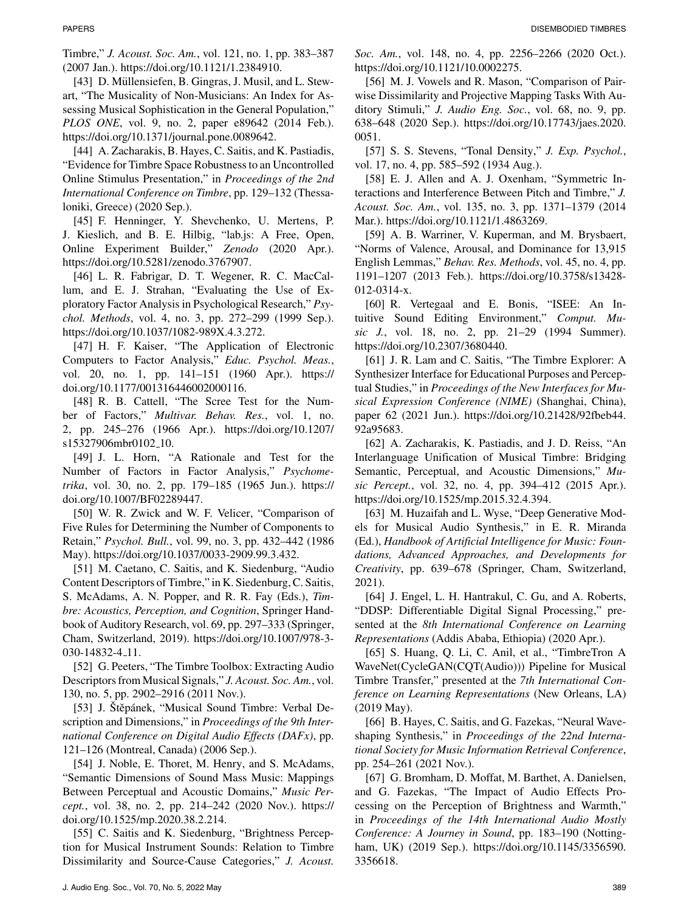Timbre," *J. Acoust. Soc. Am.*, vol. 121, no. 1, pp. 383–387 (2007 Jan.). https://doi.org/10.1121/1.2384910.

[43] D. Müllensiefen, B. Gingras, J. Musil, and L. Stewart, "The Musicality of Non-Musicians: An Index for Assessing Musical Sophistication in the General Population," *PLOS ONE*, vol. 9, no. 2, paper e89642 (2014 Feb.). https://doi.org/10.1371/journal.pone.0089642.

[44] A. Zacharakis, B. Hayes, C. Saitis, and K. Pastiadis, "Evidence for Timbre Space Robustness to an Uncontrolled Online Stimulus Presentation," in *Proceedings of the 2nd International Conference on Timbre*, pp. 129–132 (Thessaloniki, Greece) (2020 Sep.).

[45] F. Henninger, Y. Shevchenko, U. Mertens, P. J. Kieslich, and B. E. Hilbig, "lab.js: A Free, Open, Online Experiment Builder," *Zenodo* (2020 Apr.). https://doi.org/10.5281/zenodo.3767907.

[46] L. R. Fabrigar, D. T. Wegener, R. C. MacCallum, and E. J. Strahan, "Evaluating the Use of Exploratory Factor Analysis in Psychological Research," *Psychol. Methods*, vol. 4, no. 3, pp. 272–299 (1999 Sep.). https://doi.org/10.1037/1082-989X.4.3.272.

[47] H. F. Kaiser, "The Application of Electronic Computers to Factor Analysis," *Educ. Psychol. Meas.*, vol. 20, no. 1, pp. 141–151 (1960 Apr.). https:// doi.org/10.1177/001316446002000116.

[48] R. B. Cattell, "The Scree Test for the Number of Factors," *Multivar. Behav. Res.*, vol. 1, no. 2, pp. 245–276 (1966 Apr.). https://doi.org/10.1207/ s15327906mbr0102 10.

[49] J. L. Horn, "A Rationale and Test for the Number of Factors in Factor Analysis," *Psychometrika*, vol. 30, no. 2, pp. 179–185 (1965 Jun.). https:// doi.org/10.1007/BF02289447.

[50] W. R. Zwick and W. F. Velicer, "Comparison of Five Rules for Determining the Number of Components to Retain," *Psychol. Bull.*, vol. 99, no. 3, pp. 432–442 (1986 May). https://doi.org/10.1037/0033-2909.99.3.432.

[51] M. Caetano, C. Saitis, and K. Siedenburg, "Audio Content Descriptors of Timbre," in K. Siedenburg, C. Saitis, S. McAdams, A. N. Popper, and R. R. Fay (Eds.), *Timbre: Acoustics, Perception, and Cognition*, Springer Handbook of Auditory Research, vol. 69, pp. 297–333 (Springer, Cham, Switzerland, 2019). https://doi.org/10.1007/978-3- 030-14832-4 11.

[52] G. Peeters, "The Timbre Toolbox: Extracting Audio Descriptors from Musical Signals," *J. Acoust. Soc. Am.*, vol. 130, no. 5, pp. 2902–2916 (2011 Nov.).

[53] J. Štěpánek, "Musical Sound Timbre: Verbal Description and Dimensions," in *Proceedings of the 9th International Conference on Digital Audio Effects (DAFx)*, pp. 121–126 (Montreal, Canada) (2006 Sep.).

[54] J. Noble, E. Thoret, M. Henry, and S. McAdams, "Semantic Dimensions of Sound Mass Music: Mappings Between Perceptual and Acoustic Domains," *Music Percept.*, vol. 38, no. 2, pp. 214–242 (2020 Nov.). https:// doi.org/10.1525/mp.2020.38.2.214.

[55] C. Saitis and K. Siedenburg, "Brightness Perception for Musical Instrument Sounds: Relation to Timbre Dissimilarity and Source-Cause Categories," *J. Acoust.*

*Soc. Am.*, vol. 148, no. 4, pp. 2256–2266 (2020 Oct.). https://doi.org/10.1121/10.0002275.

[56] M. J. Vowels and R. Mason, "Comparison of Pairwise Dissimilarity and Projective Mapping Tasks With Auditory Stimuli," *J. Audio Eng. Soc.*, vol. 68, no. 9, pp. 638–648 (2020 Sep.). https://doi.org/10.17743/jaes.2020. 0051.

[57] S. S. Stevens, "Tonal Density," *J. Exp. Psychol.*, vol. 17, no. 4, pp. 585–592 (1934 Aug.).

[58] E. J. Allen and A. J. Oxenham, "Symmetric Interactions and Interference Between Pitch and Timbre," *J. Acoust. Soc. Am.*, vol. 135, no. 3, pp. 1371–1379 (2014 Mar.). https://doi.org/10.1121/1.4863269.

[59] A. B. Warriner, V. Kuperman, and M. Brysbaert, "Norms of Valence, Arousal, and Dominance for 13,915 English Lemmas," *Behav. Res. Methods*, vol. 45, no. 4, pp. 1191–1207 (2013 Feb.). https://doi.org/10.3758/s13428- 012-0314-x.

[60] R. Vertegaal and E. Bonis, "ISEE: An Intuitive Sound Editing Environment," *Comput. Music J.*, vol. 18, no. 2, pp. 21–29 (1994 Summer). https://doi.org/10.2307/3680440.

[61] J. R. Lam and C. Saitis, "The Timbre Explorer: A Synthesizer Interface for Educational Purposes and Perceptual Studies," in *Proceedings of the New Interfaces for Musical Expression Conference (NIME)* (Shanghai, China), paper 62 (2021 Jun.). https://doi.org/10.21428/92fbeb44. 92a95683.

[62] A. Zacharakis, K. Pastiadis, and J. D. Reiss, "An Interlanguage Unification of Musical Timbre: Bridging Semantic, Perceptual, and Acoustic Dimensions," *Music Percept.*, vol. 32, no. 4, pp. 394–412 (2015 Apr.). https://doi.org/10.1525/mp.2015.32.4.394.

[63] M. Huzaifah and L. Wyse, "Deep Generative Models for Musical Audio Synthesis," in E. R. Miranda (Ed.), *Handbook of Artificial Intelligence for Music: Foundations, Advanced Approaches, and Developments for Creativity*, pp. 639–678 (Springer, Cham, Switzerland, 2021).

[64] J. Engel, L. H. Hantrakul, C. Gu, and A. Roberts, "DDSP: Differentiable Digital Signal Processing," presented at the *8th International Conference on Learning Representations* (Addis Ababa, Ethiopia) (2020 Apr.).

[65] S. Huang, Q. Li, C. Anil, et al., "TimbreTron A WaveNet(CycleGAN(CQT(Audio))) Pipeline for Musical Timbre Transfer," presented at the *7th International Conference on Learning Representations* (New Orleans, LA) (2019 May).

[66] B. Hayes, C. Saitis, and G. Fazekas, "Neural Waveshaping Synthesis," in *Proceedings of the 22nd International Society for Music Information Retrieval Conference*, pp. 254–261 (2021 Nov.).

[67] G. Bromham, D. Moffat, M. Barthet, A. Danielsen, and G. Fazekas, "The Impact of Audio Effects Processing on the Perception of Brightness and Warmth," in *Proceedings of the 14th International Audio Mostly Conference: A Journey in Sound*, pp. 183–190 (Nottingham, UK) (2019 Sep.). https://doi.org/10.1145/3356590. 3356618.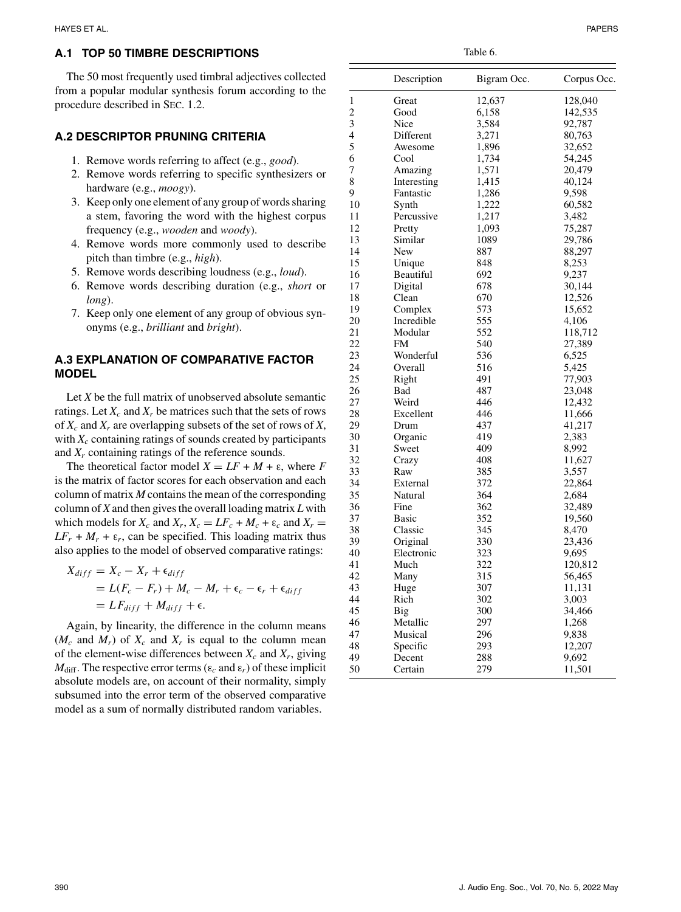# **A.1 TOP 50 TIMBRE DESCRIPTIONS**

The 50 most frequently used timbral adjectives collected from a popular modular synthesis forum according to the procedure described in SEC. 1.2.

## **A.2 DESCRIPTOR PRUNING CRITERIA**

- 1. Remove words referring to affect (e.g., *good*).
- 2. Remove words referring to specific synthesizers or hardware (e.g., *moogy*).
- 3. Keep only one element of any group of words sharing a stem, favoring the word with the highest corpus frequency (e.g., *wooden* and *woody*).
- 4. Remove words more commonly used to describe pitch than timbre (e.g., *high*).
- 5. Remove words describing loudness (e.g., *loud*).
- 6. Remove words describing duration (e.g., *short* or *long*).
- 7. Keep only one element of any group of obvious synonyms (e.g., *brilliant* and *bright*).

# **A.3 EXPLANATION OF COMPARATIVE FACTOR MODEL**

Let *X* be the full matrix of unobserved absolute semantic ratings. Let  $X_c$  and  $X_r$  be matrices such that the sets of rows of *Xc* and *Xr* are overlapping subsets of the set of rows of *X*, with *Xc* containing ratings of sounds created by participants and *Xr* containing ratings of the reference sounds.

The theoretical factor model  $X = LF + M + \varepsilon$ , where *F* is the matrix of factor scores for each observation and each column of matrix *M* contains the mean of the corresponding column of *X* and then gives the overall loading matrix *L* with which models for  $X_c$  and  $X_r$ ,  $X_c = LF_c + M_c + \varepsilon_c$  and  $X_r =$  $LF_r + M_r + \varepsilon_r$ , can be specified. This loading matrix thus also applies to the model of observed comparative ratings:

$$
X_{diff} = X_c - X_r + \epsilon_{diff}
$$
  
=  $L(F_c - F_r) + M_c - M_r + \epsilon_c - \epsilon_r + \epsilon_{diff}$   
=  $LF_{diff} + M_{diff} + \epsilon$ .

Again, by linearity, the difference in the column means  $(M_c \text{ and } M_r)$  of  $X_c$  and  $X_r$  is equal to the column mean of the element-wise differences between  $X_c$  and  $X_r$ , giving  $M_{\text{diff}}$ . The respective error terms ( $\varepsilon_c$  and  $\varepsilon_r$ ) of these implicit absolute models are, on account of their normality, simply subsumed into the error term of the observed comparative model as a sum of normally distributed random variables.

|                | Description      | Bigram Occ. | Corpus Occ.    |
|----------------|------------------|-------------|----------------|
| 1              | Great            | 12,637      | 128,040        |
| $\overline{c}$ | Good             | 6,158       | 142,535        |
| 3              | Nice             | 3,584       | 92,787         |
| 4              | Different        | 3,271       | 80,763         |
| 5              | Awesome          | 1,896       | 32,652         |
| 6              | Cool             | 1,734       | 54,245         |
| 7              | Amazing          | 1,571       | 20,479         |
| 8              | Interesting      | 1,415       | 40,124         |
| 9              | Fantastic        | 1,286       | 9,598          |
| 10             | Synth            | 1,222       | 60,582         |
| 11             | Percussive       | 1,217       | 3,482          |
| 12             | Pretty           | 1,093       | 75,287         |
| 13             | Similar          | 1089        | 29,786         |
| 14             | New              | 887         | 88,297         |
| 15             | Unique           | 848         | 8,253          |
| 16             | Beautiful        | 692         | 9,237          |
| 17             | Digital          | 678         | 30,144         |
| 18             | Clean            | 670         | 12,526         |
| 19             | Complex          | 573         | 15,652         |
| 20             | Incredible       | 555         | 4,106          |
| 21             | Modular          | 552         | 118,712        |
| 22             | FM               | 540         | 27,389         |
| 23             | Wonderful        | 536         | 6,525          |
| 24             | Overall          | 516         | 5,425          |
| 25             | Right            | 491         | 77,903         |
| 26             | Bad              | 487         | 23,048         |
| 27             | Weird            | 446         | 12,432         |
| 28             | Excellent        | 446         | 11,666         |
| 29             | Drum             | 437         | 41,217         |
| 30             |                  | 419         |                |
| 31             | Organic<br>Sweet | 409         | 2,383<br>8,992 |
| 32             |                  | 408         | 11,627         |
|                | Crazy            | 385         |                |
| 33             | Raw              |             | 3,557          |
| 34             | External         | 372         | 22,864         |
| 35             | Natural          | 364         | 2,684          |
| 36             | Fine             | 362         | 32,489         |
| 37             | Basic            | 352         | 19,560         |
| 38             | Classic          | 345         | 8,470          |
| 39             | Original         | 330         | 23,436         |
| 40             | Electronic       | 323         | 9,695          |
| 41             | Much             | 322         | 120,812        |
| 42             | Many             | 315         | 56,465         |
| 43             | Huge             | 307         | 11,131         |
| 44             | Rich             | 302         | 3,003          |
| 45             | <b>Big</b>       | 300         | 34,466         |
| 46             | Metallic         | 297         | 1,268          |
| 47             | Musical          | 296         | 9,838          |
| 48             | Specific         | 293         | 12,207         |
| 49             | Decent           | 288         | 9,692          |
| 50             | Certain          | 279         | 11,501         |

Table 6.